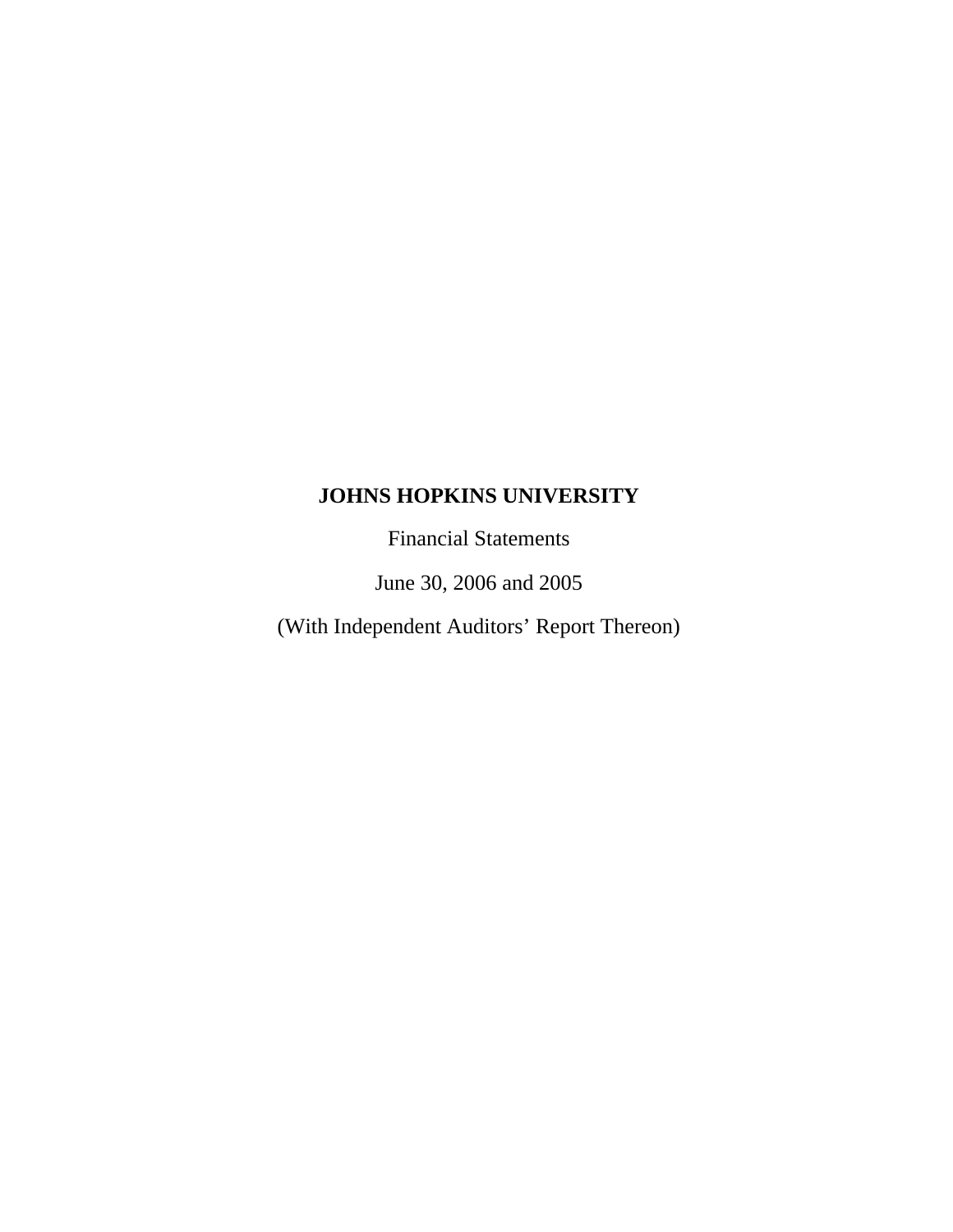Financial Statements

June 30, 2006 and 2005

(With Independent Auditors' Report Thereon)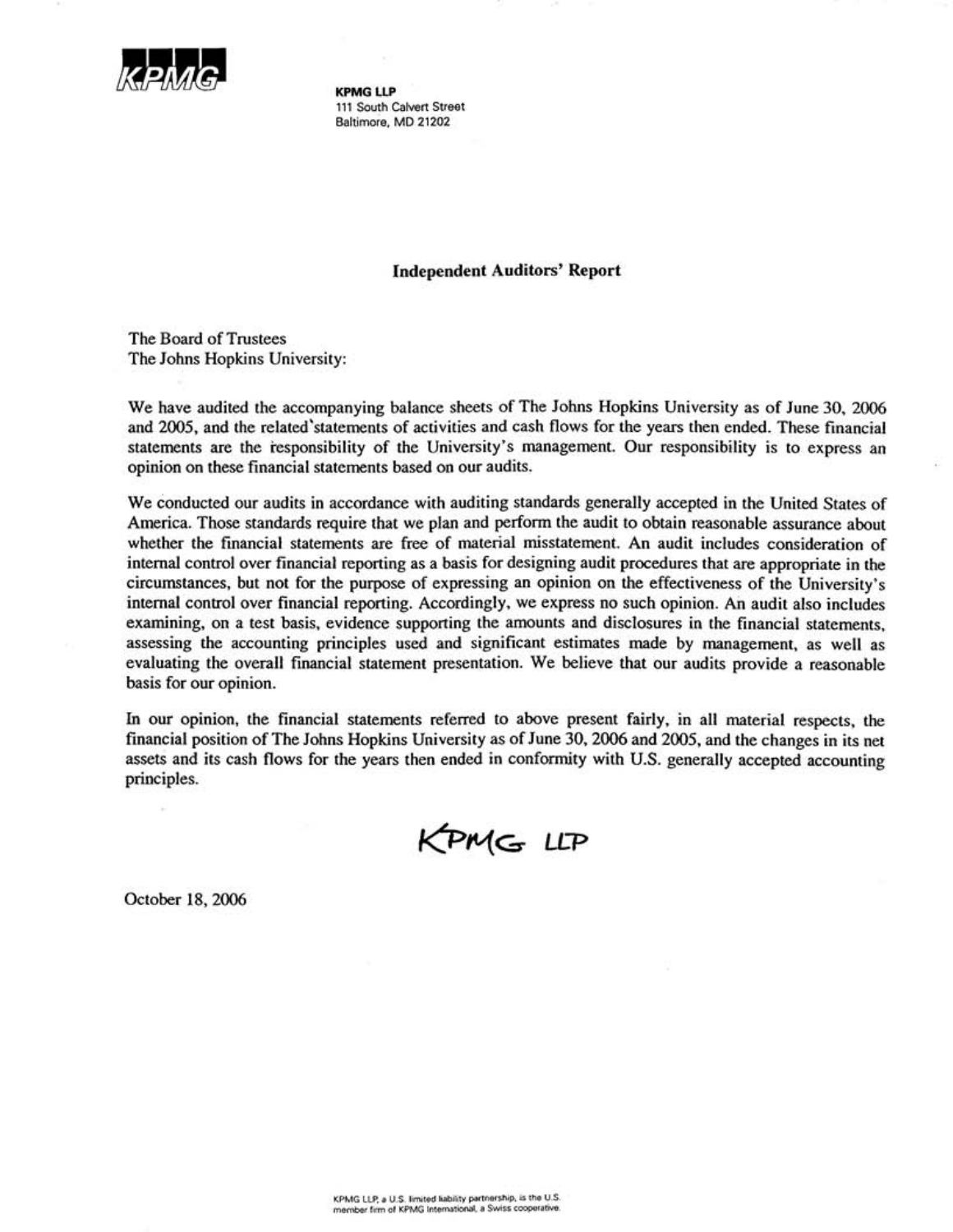

**KPMG LLP** 111 South Calvert Street Baltimore, MD 21202

#### **Independent Auditors' Report**

The Board of Trustees The Johns Hopkins University:

We have audited the accompanying balance sheets of The Johns Hopkins University as of June 30, 2006 and 2005, and the related statements of activities and cash flows for the years then ended. These financial statements are the responsibility of the University's management. Our responsibility is to express an opinion on these financial statements based on our audits.

We conducted our audits in accordance with auditing standards generally accepted in the United States of America. Those standards require that we plan and perform the audit to obtain reasonable assurance about whether the financial statements are free of material misstatement. An audit includes consideration of internal control over financial reporting as a basis for designing audit procedures that are appropriate in the circumstances, but not for the purpose of expressing an opinion on the effectiveness of the University's internal control over financial reporting. Accordingly, we express no such opinion. An audit also includes examining, on a test basis, evidence supporting the amounts and disclosures in the financial statements. assessing the accounting principles used and significant estimates made by management, as well as evaluating the overall financial statement presentation. We believe that our audits provide a reasonable basis for our opinion.

In our opinion, the financial statements referred to above present fairly, in all material respects, the financial position of The Johns Hopkins University as of June 30, 2006 and 2005, and the changes in its net assets and its cash flows for the years then ended in conformity with U.S. generally accepted accounting principles.

KPMG LLP

October 18, 2006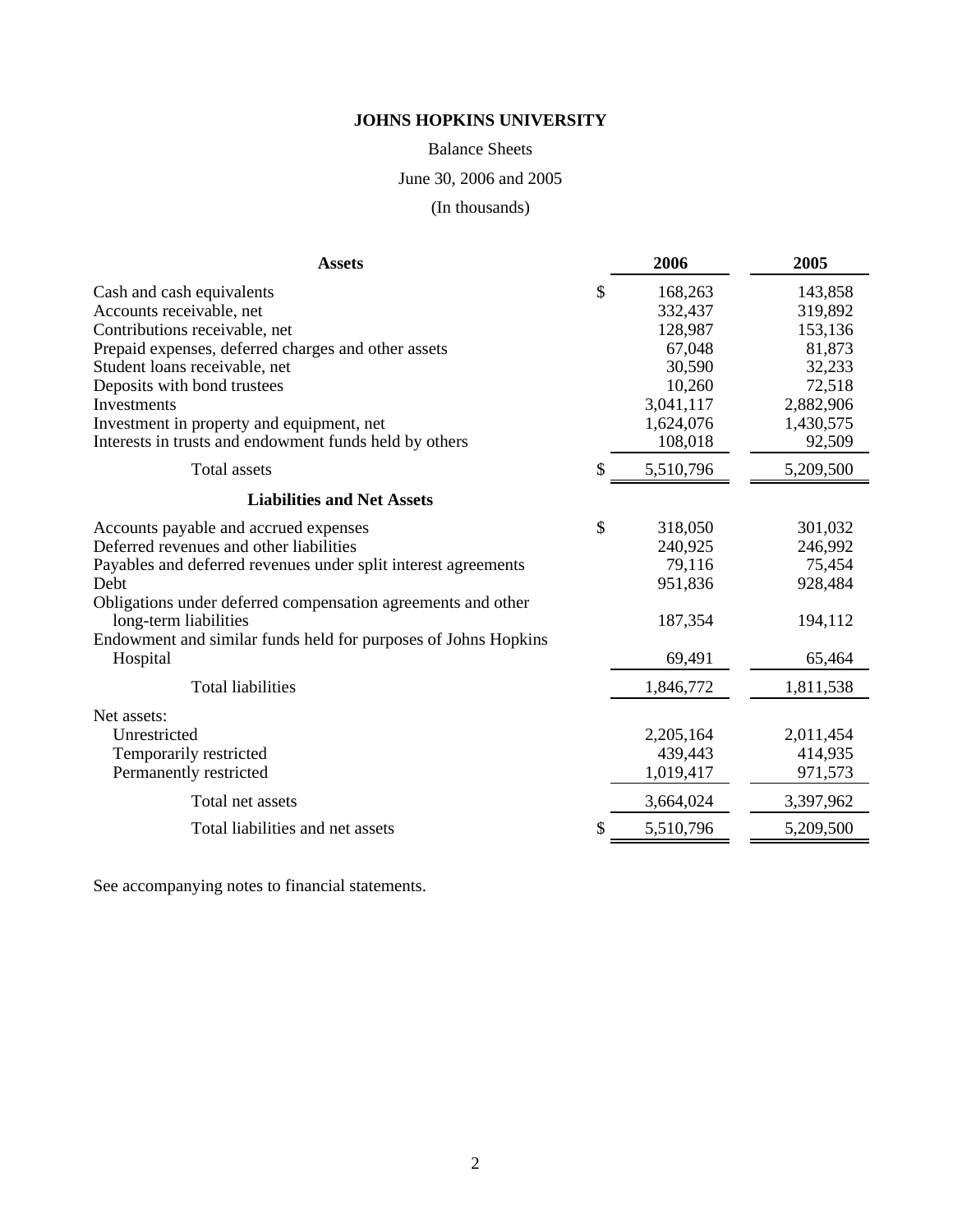Balance Sheets

June 30, 2006 and 2005

(In thousands)

| <b>Assets</b>                                                                                                                                                                                                                                                                                                                       |    | 2006                                                                                             | 2005                                                                                            |
|-------------------------------------------------------------------------------------------------------------------------------------------------------------------------------------------------------------------------------------------------------------------------------------------------------------------------------------|----|--------------------------------------------------------------------------------------------------|-------------------------------------------------------------------------------------------------|
| Cash and cash equivalents<br>Accounts receivable, net<br>Contributions receivable, net<br>Prepaid expenses, deferred charges and other assets<br>Student loans receivable, net<br>Deposits with bond trustees<br>Investments<br>Investment in property and equipment, net<br>Interests in trusts and endowment funds held by others | \$ | 168,263<br>332,437<br>128,987<br>67,048<br>30,590<br>10,260<br>3,041,117<br>1,624,076<br>108,018 | 143,858<br>319,892<br>153,136<br>81,873<br>32,233<br>72,518<br>2,882,906<br>1,430,575<br>92,509 |
| Total assets                                                                                                                                                                                                                                                                                                                        | S  | 5,510,796                                                                                        | 5,209,500                                                                                       |
| <b>Liabilities and Net Assets</b>                                                                                                                                                                                                                                                                                                   |    |                                                                                                  |                                                                                                 |
| Accounts payable and accrued expenses<br>Deferred revenues and other liabilities<br>Payables and deferred revenues under split interest agreements<br>Debt<br>Obligations under deferred compensation agreements and other<br>long-term liabilities<br>Endowment and similar funds held for purposes of Johns Hopkins<br>Hospital   | \$ | 318,050<br>240,925<br>79,116<br>951,836<br>187,354<br>69,491                                     | 301,032<br>246,992<br>75,454<br>928,484<br>194,112<br>65,464                                    |
| <b>Total liabilities</b>                                                                                                                                                                                                                                                                                                            |    | 1,846,772                                                                                        | 1,811,538                                                                                       |
| Net assets:<br>Unrestricted<br>Temporarily restricted<br>Permanently restricted<br>Total net assets                                                                                                                                                                                                                                 |    | 2,205,164<br>439,443<br>1,019,417<br>3,664,024                                                   | 2,011,454<br>414,935<br>971,573<br>3,397,962                                                    |
| Total liabilities and net assets                                                                                                                                                                                                                                                                                                    | \$ | 5,510,796                                                                                        | 5,209,500                                                                                       |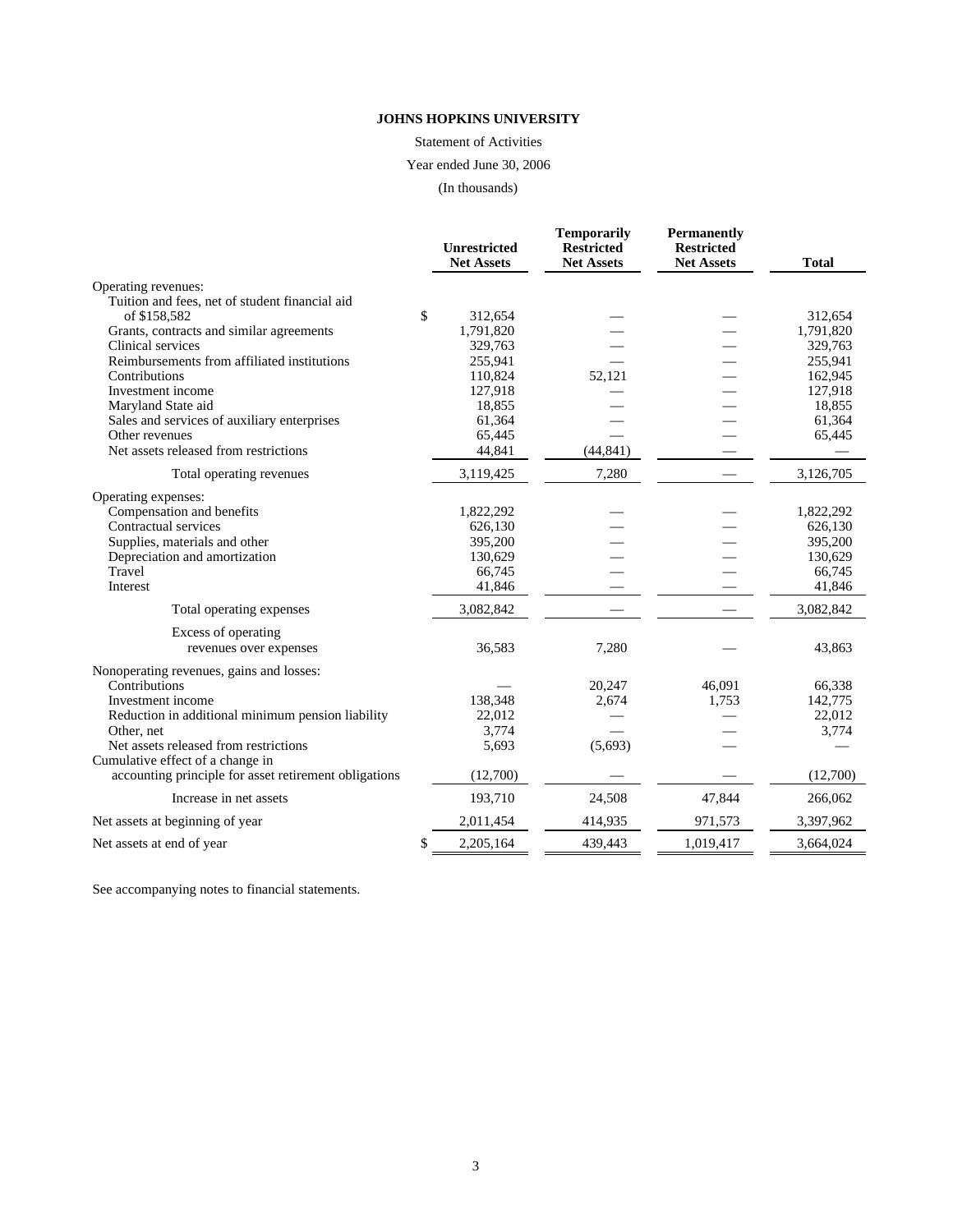Statement of Activities

Year ended June 30, 2006

(In thousands)

|                                                                                           | <b>Unrestricted</b><br><b>Net Assets</b> | <b>Temporarily</b><br><b>Restricted</b><br><b>Net Assets</b> | <b>Permanently</b><br><b>Restricted</b><br><b>Net Assets</b> | <b>Total</b> |
|-------------------------------------------------------------------------------------------|------------------------------------------|--------------------------------------------------------------|--------------------------------------------------------------|--------------|
| Operating revenues:                                                                       |                                          |                                                              |                                                              |              |
| Tuition and fees, net of student financial aid                                            |                                          |                                                              |                                                              |              |
| of \$158,582                                                                              | \$<br>312,654                            |                                                              |                                                              | 312,654      |
| Grants, contracts and similar agreements                                                  | 1,791,820                                |                                                              |                                                              | 1,791,820    |
| Clinical services                                                                         | 329,763                                  |                                                              |                                                              | 329,763      |
| Reimbursements from affiliated institutions                                               | 255,941                                  |                                                              |                                                              | 255,941      |
| Contributions                                                                             | 110,824                                  | 52,121                                                       |                                                              | 162,945      |
| Investment income                                                                         | 127,918                                  |                                                              |                                                              | 127,918      |
| Maryland State aid                                                                        | 18,855                                   |                                                              |                                                              | 18,855       |
| Sales and services of auxiliary enterprises                                               | 61,364                                   |                                                              |                                                              | 61,364       |
| Other revenues                                                                            | 65,445                                   |                                                              |                                                              | 65,445       |
| Net assets released from restrictions                                                     | 44,841                                   | (44, 841)                                                    |                                                              |              |
| Total operating revenues                                                                  | 3,119,425                                | 7,280                                                        |                                                              | 3,126,705    |
| Operating expenses:                                                                       |                                          |                                                              |                                                              |              |
| Compensation and benefits                                                                 | 1,822,292                                |                                                              |                                                              | 1,822,292    |
| Contractual services                                                                      | 626,130                                  |                                                              |                                                              | 626,130      |
| Supplies, materials and other                                                             | 395,200                                  |                                                              |                                                              | 395,200      |
| Depreciation and amortization                                                             | 130,629                                  |                                                              |                                                              | 130,629      |
| Travel                                                                                    | 66,745                                   |                                                              |                                                              | 66,745       |
| Interest                                                                                  | 41,846                                   |                                                              |                                                              | 41,846       |
| Total operating expenses                                                                  | 3,082,842                                |                                                              |                                                              | 3,082,842    |
| Excess of operating                                                                       |                                          |                                                              |                                                              |              |
| revenues over expenses                                                                    | 36,583                                   | 7,280                                                        |                                                              | 43,863       |
| Nonoperating revenues, gains and losses:                                                  |                                          |                                                              |                                                              |              |
| Contributions                                                                             |                                          | 20,247                                                       | 46.091                                                       | 66,338       |
| Investment income                                                                         | 138,348                                  | 2,674                                                        | 1,753                                                        | 142,775      |
| Reduction in additional minimum pension liability                                         | 22,012                                   |                                                              |                                                              | 22,012       |
| Other, net                                                                                | 3,774                                    |                                                              |                                                              | 3,774        |
| Net assets released from restrictions                                                     | 5,693                                    | (5,693)                                                      |                                                              |              |
| Cumulative effect of a change in<br>accounting principle for asset retirement obligations | (12,700)                                 |                                                              |                                                              | (12,700)     |
| Increase in net assets                                                                    | 193,710                                  | 24,508                                                       | 47,844                                                       | 266,062      |
| Net assets at beginning of year                                                           | 2,011,454                                | 414,935                                                      | 971,573                                                      | 3,397,962    |
| Net assets at end of year                                                                 | \$<br>2,205,164                          | 439,443                                                      | 1,019,417                                                    | 3,664,024    |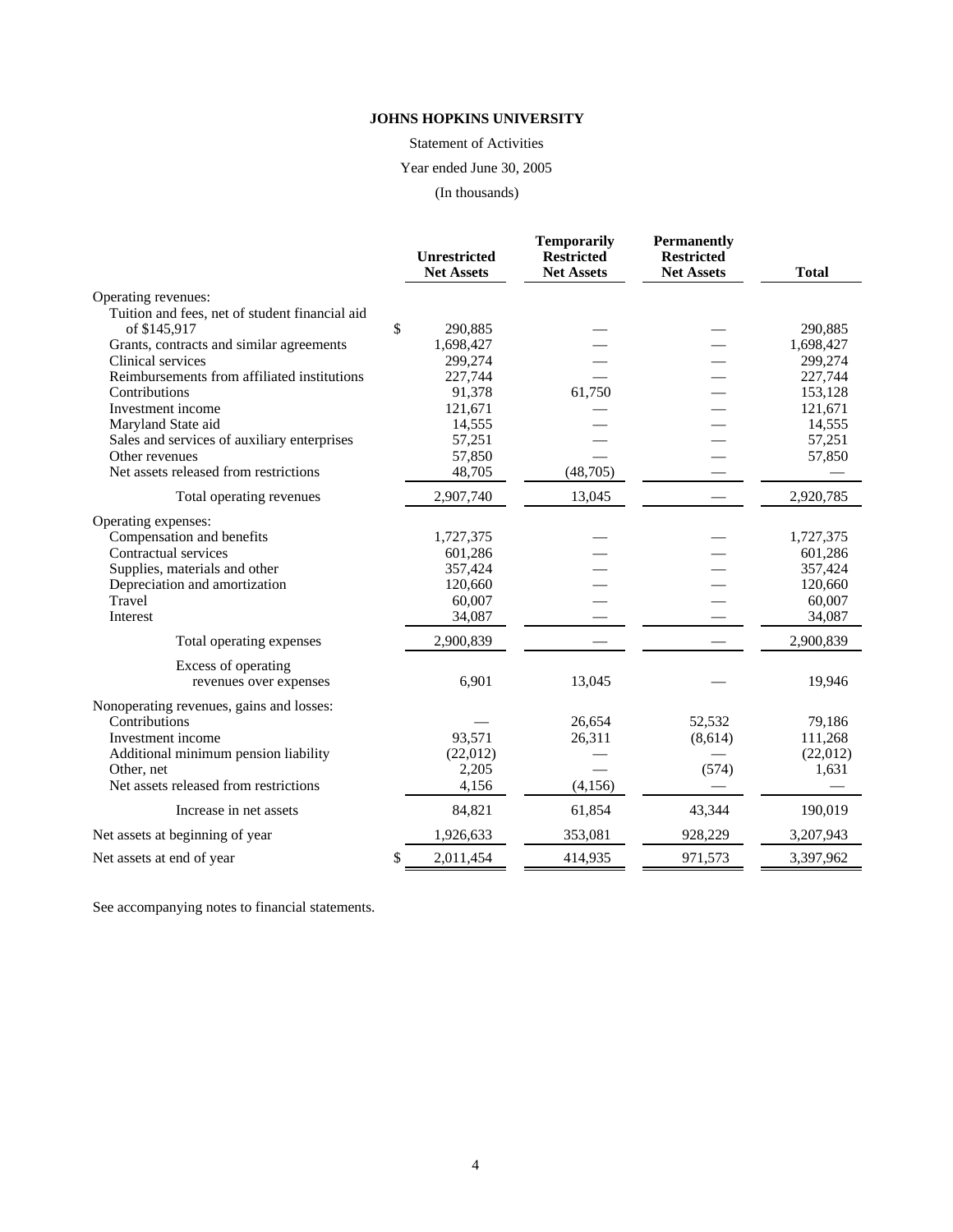Statement of Activities

Year ended June 30, 2005

(In thousands)

|                                                | <b>Unrestricted</b><br><b>Net Assets</b> | <b>Temporarily</b><br><b>Restricted</b><br><b>Net Assets</b> | <b>Permanently</b><br><b>Restricted</b><br><b>Net Assets</b> | <b>Total</b> |
|------------------------------------------------|------------------------------------------|--------------------------------------------------------------|--------------------------------------------------------------|--------------|
| Operating revenues:                            |                                          |                                                              |                                                              |              |
| Tuition and fees, net of student financial aid |                                          |                                                              |                                                              |              |
| of \$145,917                                   | \$<br>290,885                            |                                                              |                                                              | 290,885      |
| Grants, contracts and similar agreements       | 1,698,427                                |                                                              |                                                              | 1,698,427    |
| Clinical services                              | 299,274                                  |                                                              |                                                              | 299,274      |
| Reimbursements from affiliated institutions    | 227,744                                  |                                                              |                                                              | 227,744      |
| Contributions                                  | 91,378                                   | 61,750                                                       |                                                              | 153,128      |
| Investment income                              | 121,671                                  |                                                              |                                                              | 121,671      |
| Maryland State aid                             | 14,555                                   |                                                              |                                                              | 14,555       |
| Sales and services of auxiliary enterprises    | 57,251                                   |                                                              |                                                              | 57,251       |
| Other revenues                                 | 57,850                                   |                                                              |                                                              | 57,850       |
| Net assets released from restrictions          | 48,705                                   | (48,705)                                                     |                                                              |              |
| Total operating revenues                       | 2,907,740                                | 13,045                                                       |                                                              | 2,920,785    |
| Operating expenses:                            |                                          |                                                              |                                                              |              |
| Compensation and benefits                      | 1,727,375                                |                                                              |                                                              | 1,727,375    |
| Contractual services                           | 601,286                                  |                                                              |                                                              | 601,286      |
| Supplies, materials and other                  | 357,424                                  |                                                              |                                                              | 357,424      |
| Depreciation and amortization                  | 120,660                                  |                                                              |                                                              | 120,660      |
| Travel                                         | 60,007                                   |                                                              |                                                              | 60,007       |
| Interest                                       | 34,087                                   |                                                              |                                                              | 34,087       |
| Total operating expenses                       | 2,900,839                                |                                                              |                                                              | 2,900,839    |
| Excess of operating                            |                                          |                                                              |                                                              |              |
| revenues over expenses                         | 6,901                                    | 13,045                                                       |                                                              | 19,946       |
| Nonoperating revenues, gains and losses:       |                                          |                                                              |                                                              |              |
| Contributions                                  |                                          | 26,654                                                       | 52,532                                                       | 79,186       |
| Investment income                              | 93,571                                   | 26,311                                                       | (8,614)                                                      | 111,268      |
| Additional minimum pension liability           | (22,012)                                 |                                                              |                                                              | (22,012)     |
| Other, net                                     | 2,205                                    |                                                              | (574)                                                        | 1,631        |
| Net assets released from restrictions          | 4,156                                    | (4, 156)                                                     |                                                              |              |
| Increase in net assets                         | 84,821                                   | 61,854                                                       | 43,344                                                       | 190,019      |
| Net assets at beginning of year                | 1,926,633                                | 353,081                                                      | 928,229                                                      | 3,207,943    |
| Net assets at end of year                      | \$<br>2,011,454                          | 414,935                                                      | 971,573                                                      | 3,397,962    |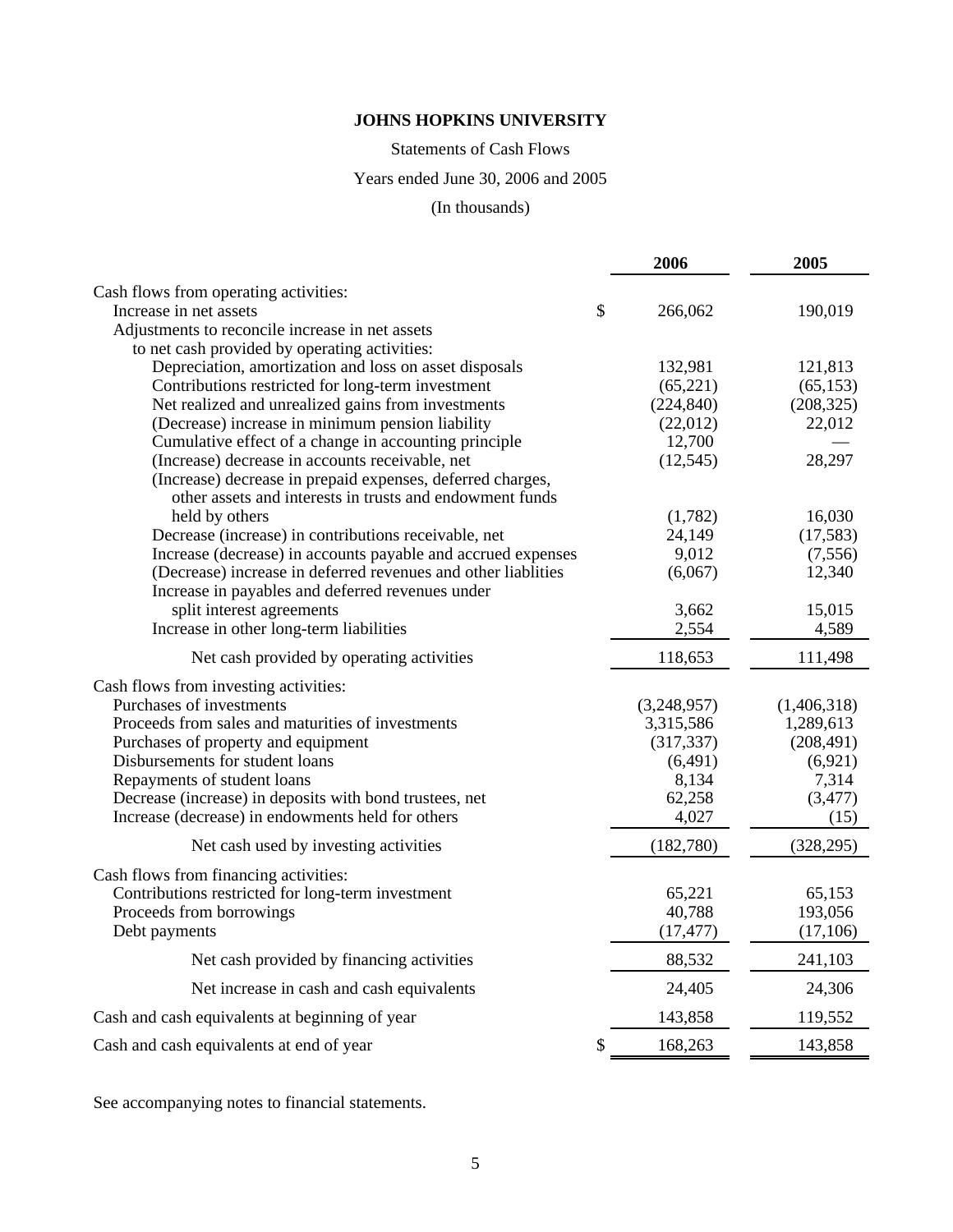## Statements of Cash Flows

# Years ended June 30, 2006 and 2005

# (In thousands)

|                                                                                                                   | 2006          | 2005        |
|-------------------------------------------------------------------------------------------------------------------|---------------|-------------|
| Cash flows from operating activities:                                                                             |               |             |
| Increase in net assets                                                                                            | \$<br>266,062 | 190,019     |
| Adjustments to reconcile increase in net assets                                                                   |               |             |
| to net cash provided by operating activities:                                                                     |               |             |
| Depreciation, amortization and loss on asset disposals                                                            | 132,981       | 121,813     |
| Contributions restricted for long-term investment                                                                 | (65, 221)     | (65, 153)   |
| Net realized and unrealized gains from investments                                                                | (224, 840)    | (208, 325)  |
| (Decrease) increase in minimum pension liability                                                                  | (22,012)      | 22,012      |
| Cumulative effect of a change in accounting principle                                                             | 12,700        |             |
| (Increase) decrease in accounts receivable, net                                                                   | (12, 545)     | 28,297      |
| (Increase) decrease in prepaid expenses, deferred charges,                                                        |               |             |
| other assets and interests in trusts and endowment funds                                                          |               |             |
| held by others                                                                                                    | (1,782)       | 16,030      |
| Decrease (increase) in contributions receivable, net                                                              | 24,149        | (17, 583)   |
| Increase (decrease) in accounts payable and accrued expenses                                                      | 9,012         | (7,556)     |
| (Decrease) increase in deferred revenues and other liablities<br>Increase in payables and deferred revenues under | (6,067)       | 12,340      |
| split interest agreements                                                                                         | 3,662         | 15,015      |
| Increase in other long-term liabilities                                                                           | 2,554         | 4,589       |
|                                                                                                                   |               |             |
| Net cash provided by operating activities                                                                         | 118,653       | 111,498     |
| Cash flows from investing activities:                                                                             |               |             |
| Purchases of investments                                                                                          | (3,248,957)   | (1,406,318) |
| Proceeds from sales and maturities of investments                                                                 | 3,315,586     | 1,289,613   |
| Purchases of property and equipment                                                                               | (317, 337)    | (208, 491)  |
| Disbursements for student loans                                                                                   | (6,491)       | (6,921)     |
| Repayments of student loans                                                                                       | 8,134         | 7,314       |
| Decrease (increase) in deposits with bond trustees, net                                                           | 62,258        | (3, 477)    |
| Increase (decrease) in endowments held for others                                                                 | 4,027         | (15)        |
| Net cash used by investing activities                                                                             | (182,780)     | (328, 295)  |
| Cash flows from financing activities:                                                                             |               |             |
| Contributions restricted for long-term investment                                                                 | 65,221        | 65,153      |
| Proceeds from borrowings                                                                                          | 40,788        | 193,056     |
| Debt payments                                                                                                     | (17, 477)     | (17, 106)   |
| Net cash provided by financing activities                                                                         | 88,532        | 241,103     |
| Net increase in cash and cash equivalents                                                                         | 24,405        | 24,306      |
| Cash and cash equivalents at beginning of year                                                                    | 143,858       | 119,552     |
| Cash and cash equivalents at end of year                                                                          | \$<br>168,263 | 143,858     |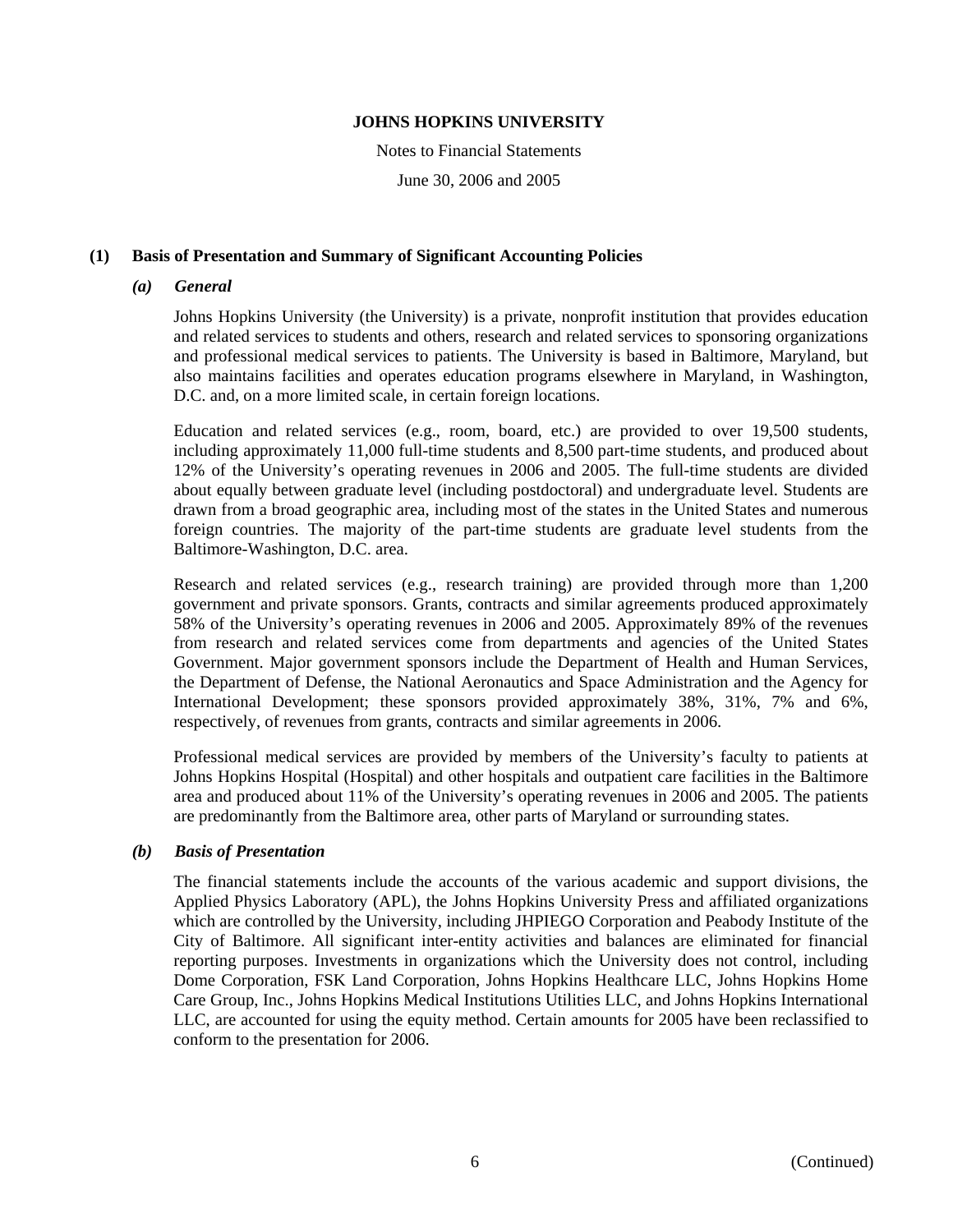Notes to Financial Statements

June 30, 2006 and 2005

## **(1) Basis of Presentation and Summary of Significant Accounting Policies**

#### *(a) General*

Johns Hopkins University (the University) is a private, nonprofit institution that provides education and related services to students and others, research and related services to sponsoring organizations and professional medical services to patients. The University is based in Baltimore, Maryland, but also maintains facilities and operates education programs elsewhere in Maryland, in Washington, D.C. and, on a more limited scale, in certain foreign locations.

Education and related services (e.g., room, board, etc.) are provided to over 19,500 students, including approximately 11,000 full-time students and 8,500 part-time students, and produced about 12% of the University's operating revenues in 2006 and 2005. The full-time students are divided about equally between graduate level (including postdoctoral) and undergraduate level. Students are drawn from a broad geographic area, including most of the states in the United States and numerous foreign countries. The majority of the part-time students are graduate level students from the Baltimore-Washington, D.C. area.

Research and related services (e.g., research training) are provided through more than 1,200 government and private sponsors. Grants, contracts and similar agreements produced approximately 58% of the University's operating revenues in 2006 and 2005. Approximately 89% of the revenues from research and related services come from departments and agencies of the United States Government. Major government sponsors include the Department of Health and Human Services, the Department of Defense, the National Aeronautics and Space Administration and the Agency for International Development; these sponsors provided approximately 38%, 31%, 7% and 6%, respectively, of revenues from grants, contracts and similar agreements in 2006.

Professional medical services are provided by members of the University's faculty to patients at Johns Hopkins Hospital (Hospital) and other hospitals and outpatient care facilities in the Baltimore area and produced about 11% of the University's operating revenues in 2006 and 2005. The patients are predominantly from the Baltimore area, other parts of Maryland or surrounding states.

# *(b) Basis of Presentation*

The financial statements include the accounts of the various academic and support divisions, the Applied Physics Laboratory (APL), the Johns Hopkins University Press and affiliated organizations which are controlled by the University, including JHPIEGO Corporation and Peabody Institute of the City of Baltimore. All significant inter-entity activities and balances are eliminated for financial reporting purposes. Investments in organizations which the University does not control, including Dome Corporation, FSK Land Corporation, Johns Hopkins Healthcare LLC, Johns Hopkins Home Care Group, Inc., Johns Hopkins Medical Institutions Utilities LLC, and Johns Hopkins International LLC, are accounted for using the equity method. Certain amounts for 2005 have been reclassified to conform to the presentation for 2006.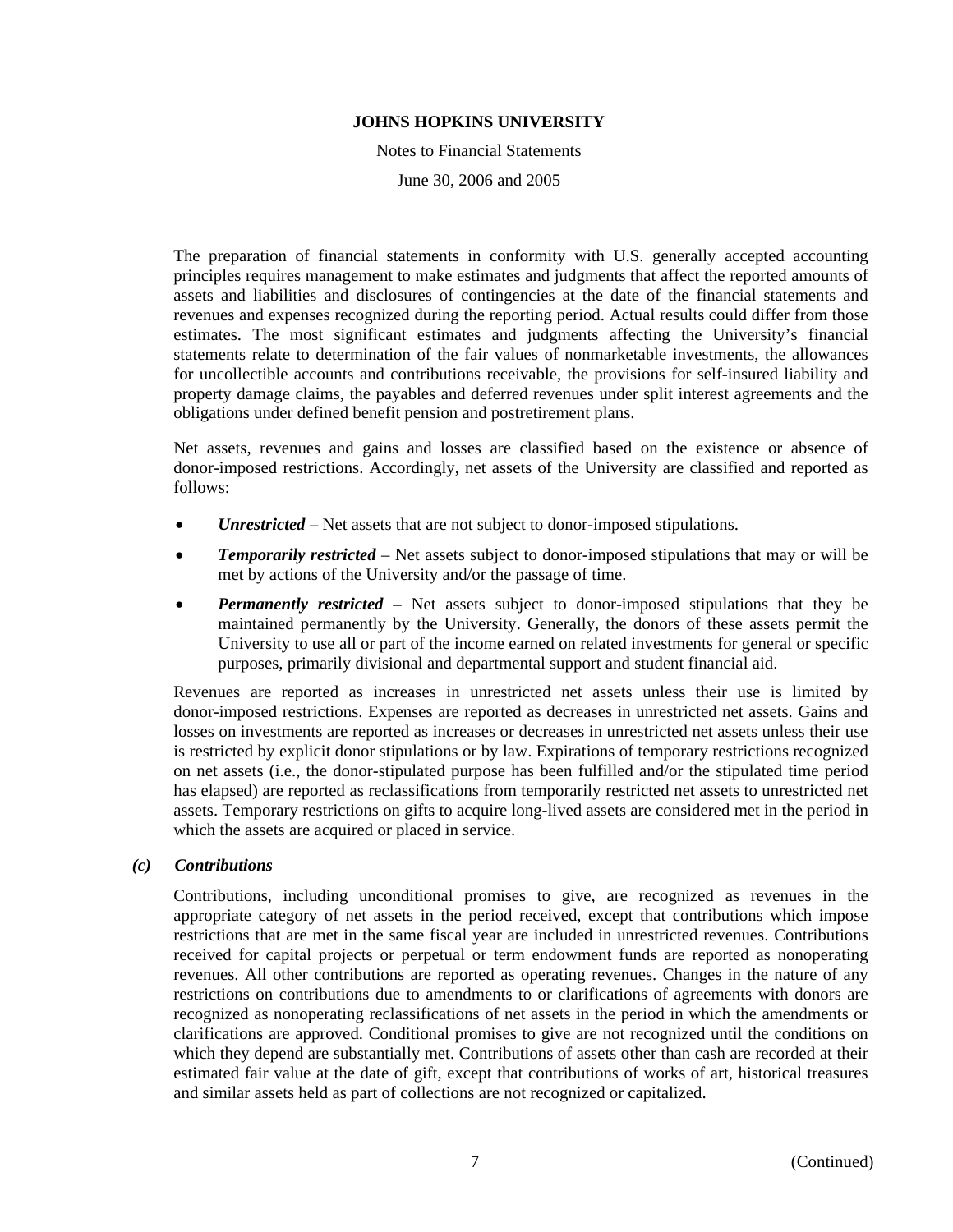Notes to Financial Statements June 30, 2006 and 2005

The preparation of financial statements in conformity with U.S. generally accepted accounting principles requires management to make estimates and judgments that affect the reported amounts of assets and liabilities and disclosures of contingencies at the date of the financial statements and revenues and expenses recognized during the reporting period. Actual results could differ from those estimates. The most significant estimates and judgments affecting the University's financial statements relate to determination of the fair values of nonmarketable investments, the allowances for uncollectible accounts and contributions receivable, the provisions for self-insured liability and property damage claims, the payables and deferred revenues under split interest agreements and the obligations under defined benefit pension and postretirement plans.

Net assets, revenues and gains and losses are classified based on the existence or absence of donor-imposed restrictions. Accordingly, net assets of the University are classified and reported as follows:

- *Unrestricted* Net assets that are not subject to donor-imposed stipulations.
- *Temporarily restricted* Net assets subject to donor-imposed stipulations that may or will be met by actions of the University and/or the passage of time.
- *Permanently restricted* Net assets subject to donor-imposed stipulations that they be maintained permanently by the University. Generally, the donors of these assets permit the University to use all or part of the income earned on related investments for general or specific purposes, primarily divisional and departmental support and student financial aid.

Revenues are reported as increases in unrestricted net assets unless their use is limited by donor-imposed restrictions. Expenses are reported as decreases in unrestricted net assets. Gains and losses on investments are reported as increases or decreases in unrestricted net assets unless their use is restricted by explicit donor stipulations or by law. Expirations of temporary restrictions recognized on net assets (i.e., the donor-stipulated purpose has been fulfilled and/or the stipulated time period has elapsed) are reported as reclassifications from temporarily restricted net assets to unrestricted net assets. Temporary restrictions on gifts to acquire long-lived assets are considered met in the period in which the assets are acquired or placed in service.

#### *(c) Contributions*

Contributions, including unconditional promises to give, are recognized as revenues in the appropriate category of net assets in the period received, except that contributions which impose restrictions that are met in the same fiscal year are included in unrestricted revenues. Contributions received for capital projects or perpetual or term endowment funds are reported as nonoperating revenues. All other contributions are reported as operating revenues. Changes in the nature of any restrictions on contributions due to amendments to or clarifications of agreements with donors are recognized as nonoperating reclassifications of net assets in the period in which the amendments or clarifications are approved. Conditional promises to give are not recognized until the conditions on which they depend are substantially met. Contributions of assets other than cash are recorded at their estimated fair value at the date of gift, except that contributions of works of art, historical treasures and similar assets held as part of collections are not recognized or capitalized.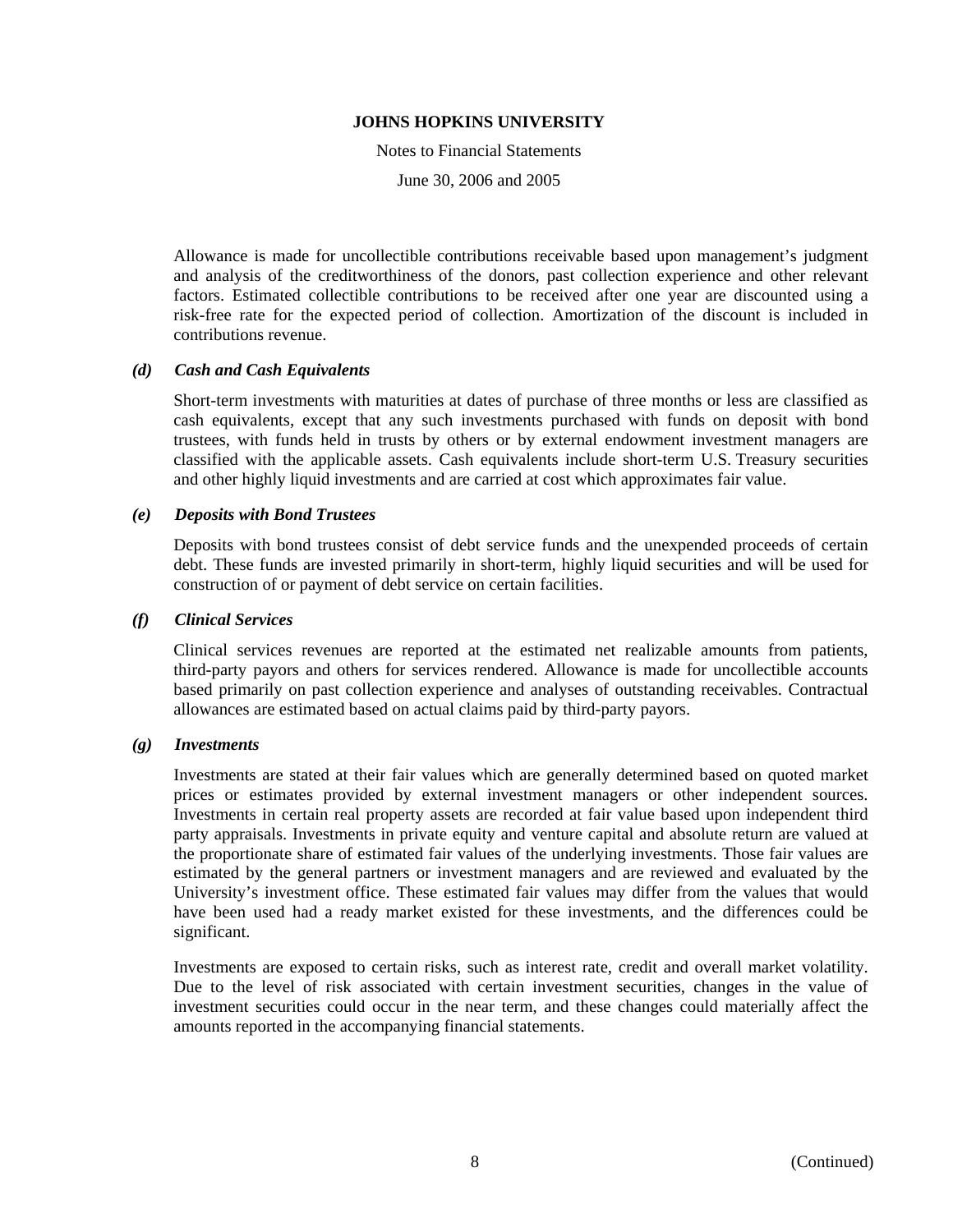Notes to Financial Statements

June 30, 2006 and 2005

Allowance is made for uncollectible contributions receivable based upon management's judgment and analysis of the creditworthiness of the donors, past collection experience and other relevant factors. Estimated collectible contributions to be received after one year are discounted using a risk-free rate for the expected period of collection. Amortization of the discount is included in contributions revenue.

#### *(d) Cash and Cash Equivalents*

Short-term investments with maturities at dates of purchase of three months or less are classified as cash equivalents, except that any such investments purchased with funds on deposit with bond trustees, with funds held in trusts by others or by external endowment investment managers are classified with the applicable assets. Cash equivalents include short-term U.S. Treasury securities and other highly liquid investments and are carried at cost which approximates fair value.

#### *(e) Deposits with Bond Trustees*

Deposits with bond trustees consist of debt service funds and the unexpended proceeds of certain debt. These funds are invested primarily in short-term, highly liquid securities and will be used for construction of or payment of debt service on certain facilities.

#### *(f) Clinical Services*

Clinical services revenues are reported at the estimated net realizable amounts from patients, third-party payors and others for services rendered. Allowance is made for uncollectible accounts based primarily on past collection experience and analyses of outstanding receivables. Contractual allowances are estimated based on actual claims paid by third-party payors.

#### *(g) Investments*

Investments are stated at their fair values which are generally determined based on quoted market prices or estimates provided by external investment managers or other independent sources. Investments in certain real property assets are recorded at fair value based upon independent third party appraisals. Investments in private equity and venture capital and absolute return are valued at the proportionate share of estimated fair values of the underlying investments. Those fair values are estimated by the general partners or investment managers and are reviewed and evaluated by the University's investment office. These estimated fair values may differ from the values that would have been used had a ready market existed for these investments, and the differences could be significant.

Investments are exposed to certain risks, such as interest rate, credit and overall market volatility. Due to the level of risk associated with certain investment securities, changes in the value of investment securities could occur in the near term, and these changes could materially affect the amounts reported in the accompanying financial statements.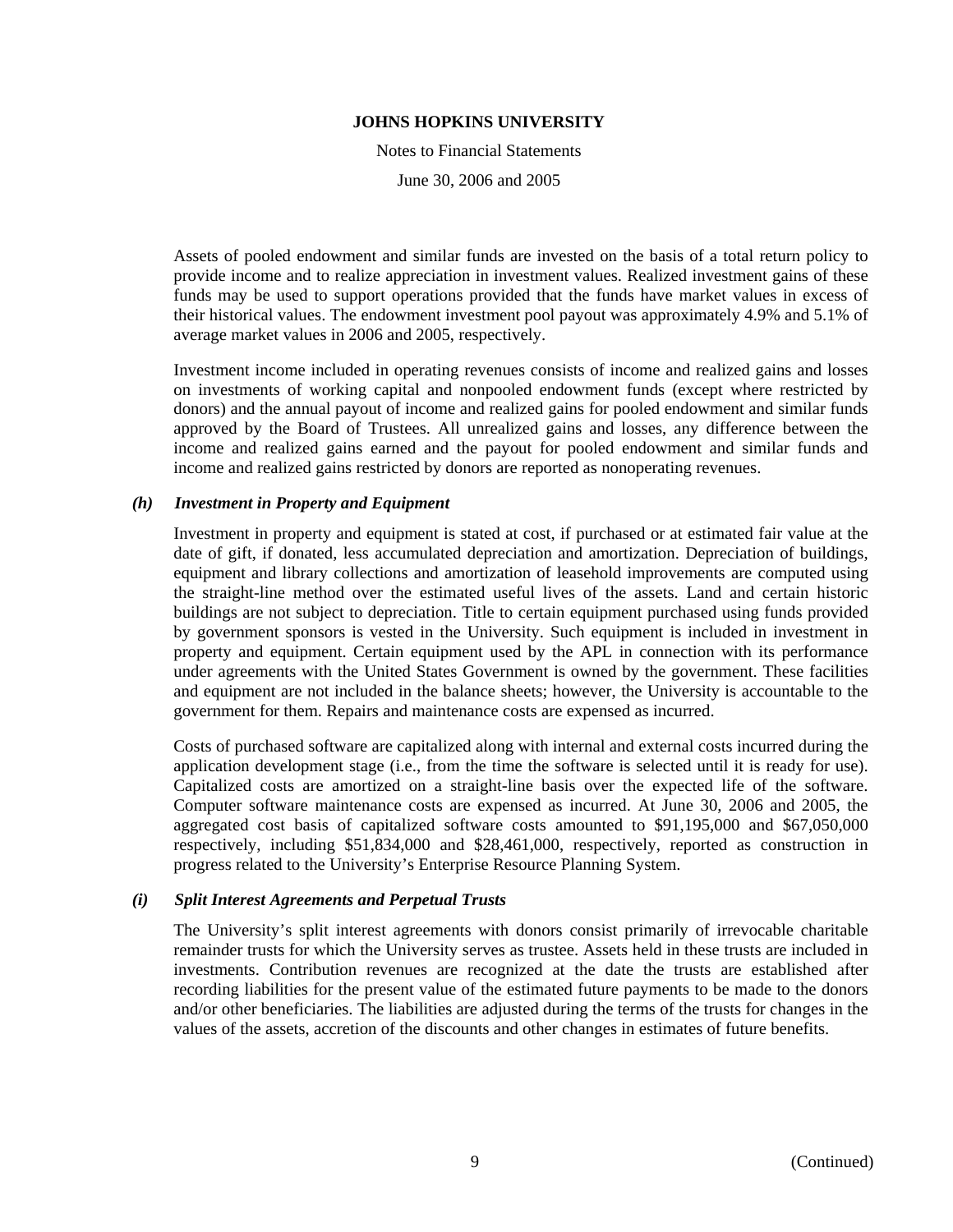Notes to Financial Statements June 30, 2006 and 2005

Assets of pooled endowment and similar funds are invested on the basis of a total return policy to provide income and to realize appreciation in investment values. Realized investment gains of these funds may be used to support operations provided that the funds have market values in excess of their historical values. The endowment investment pool payout was approximately 4.9% and 5.1% of average market values in 2006 and 2005, respectively.

Investment income included in operating revenues consists of income and realized gains and losses on investments of working capital and nonpooled endowment funds (except where restricted by donors) and the annual payout of income and realized gains for pooled endowment and similar funds approved by the Board of Trustees. All unrealized gains and losses, any difference between the income and realized gains earned and the payout for pooled endowment and similar funds and income and realized gains restricted by donors are reported as nonoperating revenues.

### *(h) Investment in Property and Equipment*

Investment in property and equipment is stated at cost, if purchased or at estimated fair value at the date of gift, if donated, less accumulated depreciation and amortization. Depreciation of buildings, equipment and library collections and amortization of leasehold improvements are computed using the straight-line method over the estimated useful lives of the assets. Land and certain historic buildings are not subject to depreciation. Title to certain equipment purchased using funds provided by government sponsors is vested in the University. Such equipment is included in investment in property and equipment. Certain equipment used by the APL in connection with its performance under agreements with the United States Government is owned by the government. These facilities and equipment are not included in the balance sheets; however, the University is accountable to the government for them. Repairs and maintenance costs are expensed as incurred.

Costs of purchased software are capitalized along with internal and external costs incurred during the application development stage (i.e., from the time the software is selected until it is ready for use). Capitalized costs are amortized on a straight-line basis over the expected life of the software. Computer software maintenance costs are expensed as incurred. At June 30, 2006 and 2005, the aggregated cost basis of capitalized software costs amounted to \$91,195,000 and \$67,050,000 respectively, including \$51,834,000 and \$28,461,000, respectively, reported as construction in progress related to the University's Enterprise Resource Planning System.

#### *(i) Split Interest Agreements and Perpetual Trusts*

The University's split interest agreements with donors consist primarily of irrevocable charitable remainder trusts for which the University serves as trustee. Assets held in these trusts are included in investments. Contribution revenues are recognized at the date the trusts are established after recording liabilities for the present value of the estimated future payments to be made to the donors and/or other beneficiaries. The liabilities are adjusted during the terms of the trusts for changes in the values of the assets, accretion of the discounts and other changes in estimates of future benefits.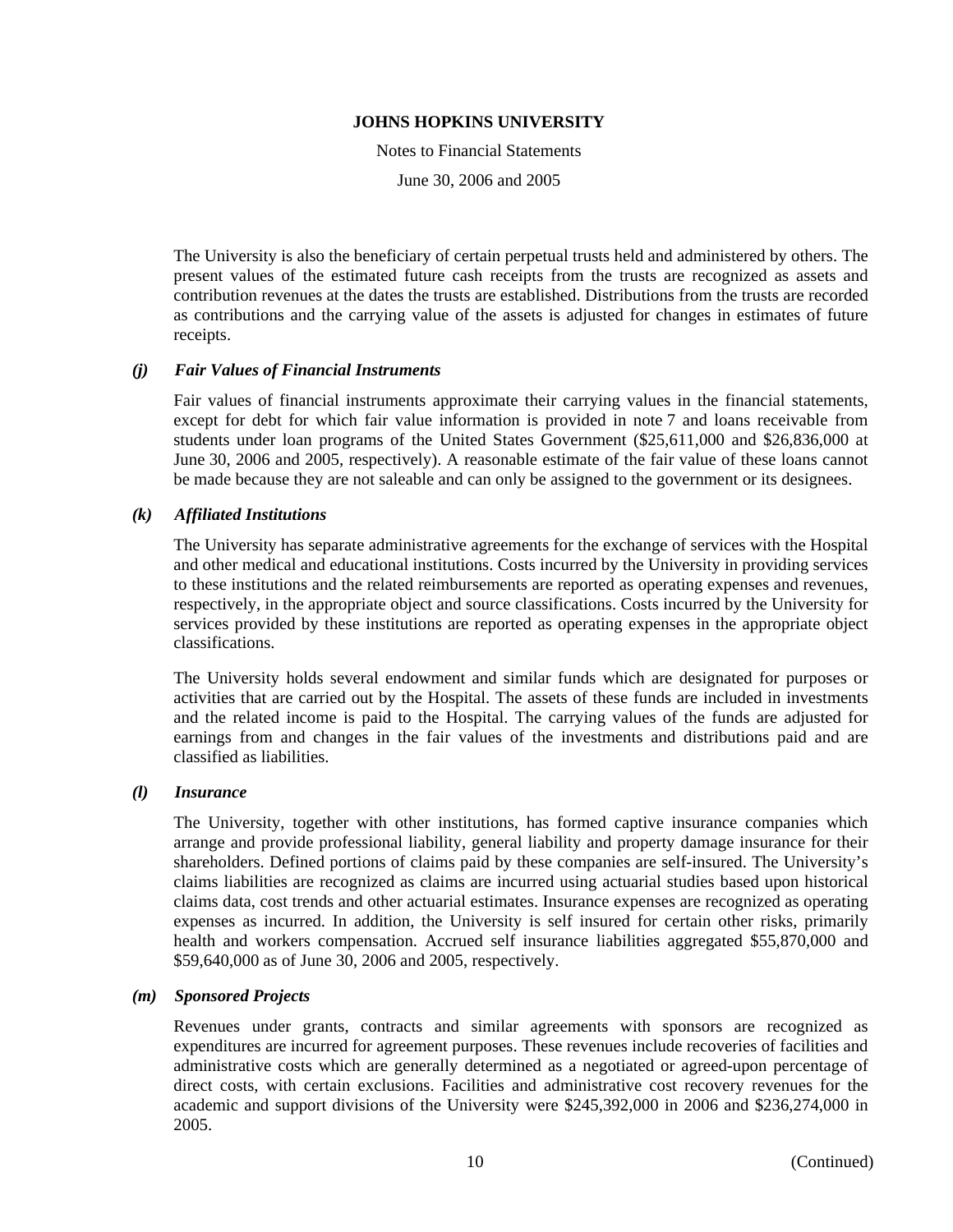Notes to Financial Statements

June 30, 2006 and 2005

The University is also the beneficiary of certain perpetual trusts held and administered by others. The present values of the estimated future cash receipts from the trusts are recognized as assets and contribution revenues at the dates the trusts are established. Distributions from the trusts are recorded as contributions and the carrying value of the assets is adjusted for changes in estimates of future receipts.

### *(j) Fair Values of Financial Instruments*

Fair values of financial instruments approximate their carrying values in the financial statements, except for debt for which fair value information is provided in note 7 and loans receivable from students under loan programs of the United States Government (\$25,611,000 and \$26,836,000 at June 30, 2006 and 2005, respectively). A reasonable estimate of the fair value of these loans cannot be made because they are not saleable and can only be assigned to the government or its designees.

### *(k) Affiliated Institutions*

The University has separate administrative agreements for the exchange of services with the Hospital and other medical and educational institutions. Costs incurred by the University in providing services to these institutions and the related reimbursements are reported as operating expenses and revenues, respectively, in the appropriate object and source classifications. Costs incurred by the University for services provided by these institutions are reported as operating expenses in the appropriate object classifications.

The University holds several endowment and similar funds which are designated for purposes or activities that are carried out by the Hospital. The assets of these funds are included in investments and the related income is paid to the Hospital. The carrying values of the funds are adjusted for earnings from and changes in the fair values of the investments and distributions paid and are classified as liabilities.

#### *(l) Insurance*

The University, together with other institutions, has formed captive insurance companies which arrange and provide professional liability, general liability and property damage insurance for their shareholders. Defined portions of claims paid by these companies are self-insured. The University's claims liabilities are recognized as claims are incurred using actuarial studies based upon historical claims data, cost trends and other actuarial estimates. Insurance expenses are recognized as operating expenses as incurred. In addition, the University is self insured for certain other risks, primarily health and workers compensation. Accrued self insurance liabilities aggregated \$55,870,000 and \$59,640,000 as of June 30, 2006 and 2005, respectively.

# *(m) Sponsored Projects*

Revenues under grants, contracts and similar agreements with sponsors are recognized as expenditures are incurred for agreement purposes. These revenues include recoveries of facilities and administrative costs which are generally determined as a negotiated or agreed-upon percentage of direct costs, with certain exclusions. Facilities and administrative cost recovery revenues for the academic and support divisions of the University were \$245,392,000 in 2006 and \$236,274,000 in 2005.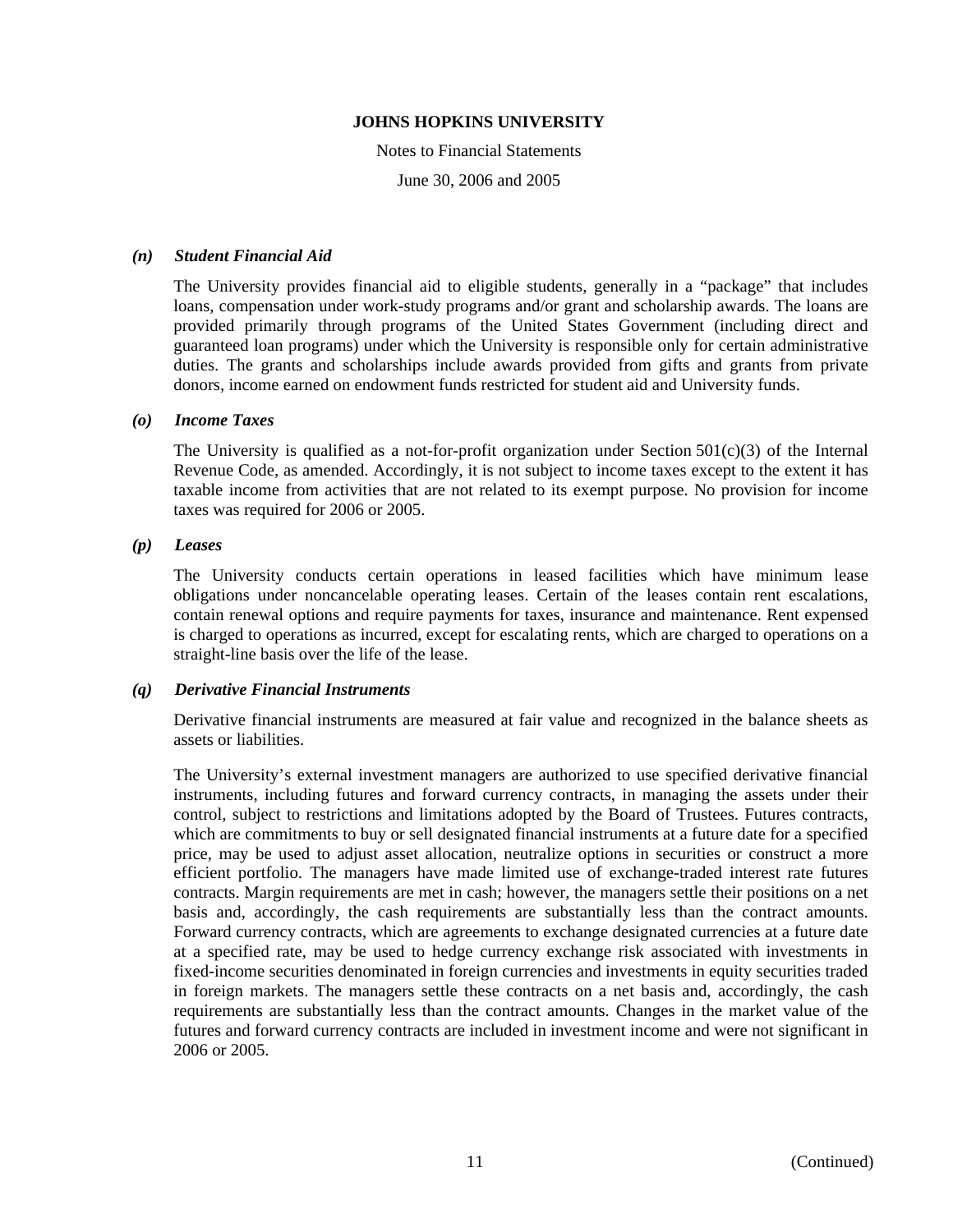Notes to Financial Statements

June 30, 2006 and 2005

#### *(n) Student Financial Aid*

The University provides financial aid to eligible students, generally in a "package" that includes loans, compensation under work-study programs and/or grant and scholarship awards. The loans are provided primarily through programs of the United States Government (including direct and guaranteed loan programs) under which the University is responsible only for certain administrative duties. The grants and scholarships include awards provided from gifts and grants from private donors, income earned on endowment funds restricted for student aid and University funds.

### *(o) Income Taxes*

The University is qualified as a not-for-profit organization under Section  $501(c)(3)$  of the Internal Revenue Code, as amended. Accordingly, it is not subject to income taxes except to the extent it has taxable income from activities that are not related to its exempt purpose. No provision for income taxes was required for 2006 or 2005.

### *(p) Leases*

The University conducts certain operations in leased facilities which have minimum lease obligations under noncancelable operating leases. Certain of the leases contain rent escalations, contain renewal options and require payments for taxes, insurance and maintenance. Rent expensed is charged to operations as incurred, except for escalating rents, which are charged to operations on a straight-line basis over the life of the lease.

# *(q) Derivative Financial Instruments*

Derivative financial instruments are measured at fair value and recognized in the balance sheets as assets or liabilities.

The University's external investment managers are authorized to use specified derivative financial instruments, including futures and forward currency contracts, in managing the assets under their control, subject to restrictions and limitations adopted by the Board of Trustees. Futures contracts, which are commitments to buy or sell designated financial instruments at a future date for a specified price, may be used to adjust asset allocation, neutralize options in securities or construct a more efficient portfolio. The managers have made limited use of exchange-traded interest rate futures contracts. Margin requirements are met in cash; however, the managers settle their positions on a net basis and, accordingly, the cash requirements are substantially less than the contract amounts. Forward currency contracts, which are agreements to exchange designated currencies at a future date at a specified rate, may be used to hedge currency exchange risk associated with investments in fixed-income securities denominated in foreign currencies and investments in equity securities traded in foreign markets. The managers settle these contracts on a net basis and, accordingly, the cash requirements are substantially less than the contract amounts. Changes in the market value of the futures and forward currency contracts are included in investment income and were not significant in 2006 or 2005.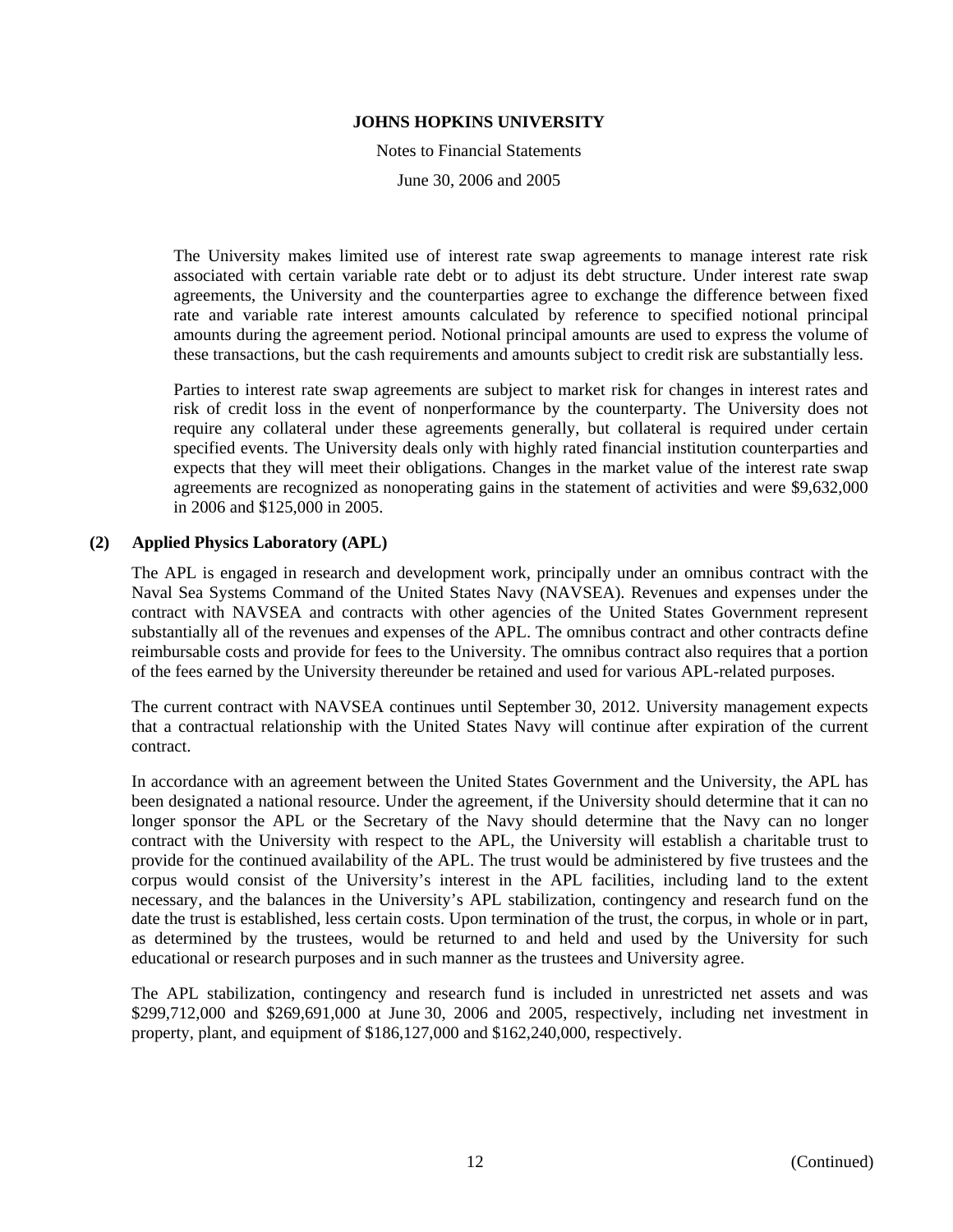Notes to Financial Statements

June 30, 2006 and 2005

The University makes limited use of interest rate swap agreements to manage interest rate risk associated with certain variable rate debt or to adjust its debt structure. Under interest rate swap agreements, the University and the counterparties agree to exchange the difference between fixed rate and variable rate interest amounts calculated by reference to specified notional principal amounts during the agreement period. Notional principal amounts are used to express the volume of these transactions, but the cash requirements and amounts subject to credit risk are substantially less.

Parties to interest rate swap agreements are subject to market risk for changes in interest rates and risk of credit loss in the event of nonperformance by the counterparty. The University does not require any collateral under these agreements generally, but collateral is required under certain specified events. The University deals only with highly rated financial institution counterparties and expects that they will meet their obligations. Changes in the market value of the interest rate swap agreements are recognized as nonoperating gains in the statement of activities and were \$9,632,000 in 2006 and \$125,000 in 2005.

### **(2) Applied Physics Laboratory (APL)**

The APL is engaged in research and development work, principally under an omnibus contract with the Naval Sea Systems Command of the United States Navy (NAVSEA). Revenues and expenses under the contract with NAVSEA and contracts with other agencies of the United States Government represent substantially all of the revenues and expenses of the APL. The omnibus contract and other contracts define reimbursable costs and provide for fees to the University. The omnibus contract also requires that a portion of the fees earned by the University thereunder be retained and used for various APL-related purposes.

The current contract with NAVSEA continues until September 30, 2012. University management expects that a contractual relationship with the United States Navy will continue after expiration of the current contract.

In accordance with an agreement between the United States Government and the University, the APL has been designated a national resource. Under the agreement, if the University should determine that it can no longer sponsor the APL or the Secretary of the Navy should determine that the Navy can no longer contract with the University with respect to the APL, the University will establish a charitable trust to provide for the continued availability of the APL. The trust would be administered by five trustees and the corpus would consist of the University's interest in the APL facilities, including land to the extent necessary, and the balances in the University's APL stabilization, contingency and research fund on the date the trust is established, less certain costs. Upon termination of the trust, the corpus, in whole or in part, as determined by the trustees, would be returned to and held and used by the University for such educational or research purposes and in such manner as the trustees and University agree.

The APL stabilization, contingency and research fund is included in unrestricted net assets and was \$299,712,000 and \$269,691,000 at June 30, 2006 and 2005, respectively, including net investment in property, plant, and equipment of \$186,127,000 and \$162,240,000, respectively.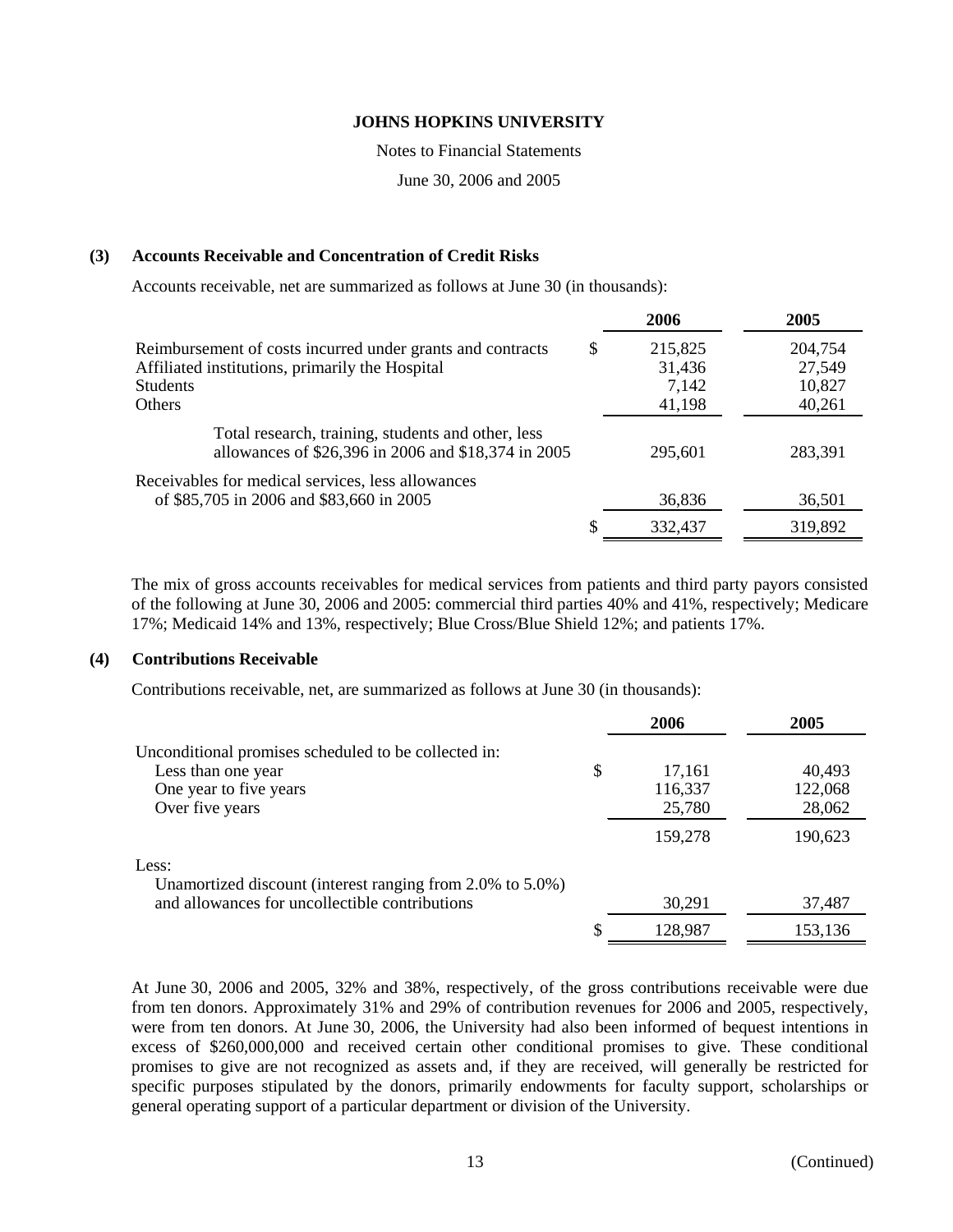Notes to Financial Statements

June 30, 2006 and 2005

## **(3) Accounts Receivable and Concentration of Credit Risks**

Accounts receivable, net are summarized as follows at June 30 (in thousands):

|                                                                                                                                                   |   | 2006                                 | 2005                                  |
|---------------------------------------------------------------------------------------------------------------------------------------------------|---|--------------------------------------|---------------------------------------|
| Reimbursement of costs incurred under grants and contracts<br>Affiliated institutions, primarily the Hospital<br><b>Students</b><br><b>Others</b> | S | 215,825<br>31,436<br>7,142<br>41,198 | 204,754<br>27,549<br>10,827<br>40,261 |
| Total research, training, students and other, less<br>allowances of \$26,396 in 2006 and \$18,374 in 2005                                         |   | 295.601                              | 283,391                               |
| Receivables for medical services, less allowances<br>of \$85,705 in 2006 and \$83,660 in 2005                                                     |   | 36,836                               | 36,501                                |
|                                                                                                                                                   |   | 332,437                              | 319,892                               |

The mix of gross accounts receivables for medical services from patients and third party payors consisted of the following at June 30, 2006 and 2005: commercial third parties 40% and 41%, respectively; Medicare 17%; Medicaid 14% and 13%, respectively; Blue Cross/Blue Shield 12%; and patients 17%.

#### **(4) Contributions Receivable**

Contributions receivable, net, are summarized as follows at June 30 (in thousands):

|                                                           | 2006         | 2005    |
|-----------------------------------------------------------|--------------|---------|
| Unconditional promises scheduled to be collected in:      |              |         |
| Less than one year                                        | \$<br>17,161 | 40.493  |
| One year to five years                                    | 116,337      | 122,068 |
| Over five years                                           | 25,780       | 28,062  |
|                                                           | 159,278      | 190,623 |
| Less:                                                     |              |         |
| Unamortized discount (interest ranging from 2.0% to 5.0%) |              |         |
| and allowances for uncollectible contributions            | 30,291       | 37,487  |
|                                                           | 128,987      | 153,136 |

At June 30, 2006 and 2005, 32% and 38%, respectively, of the gross contributions receivable were due from ten donors. Approximately 31% and 29% of contribution revenues for 2006 and 2005, respectively, were from ten donors. At June 30, 2006, the University had also been informed of bequest intentions in excess of \$260,000,000 and received certain other conditional promises to give. These conditional promises to give are not recognized as assets and, if they are received, will generally be restricted for specific purposes stipulated by the donors, primarily endowments for faculty support, scholarships or general operating support of a particular department or division of the University.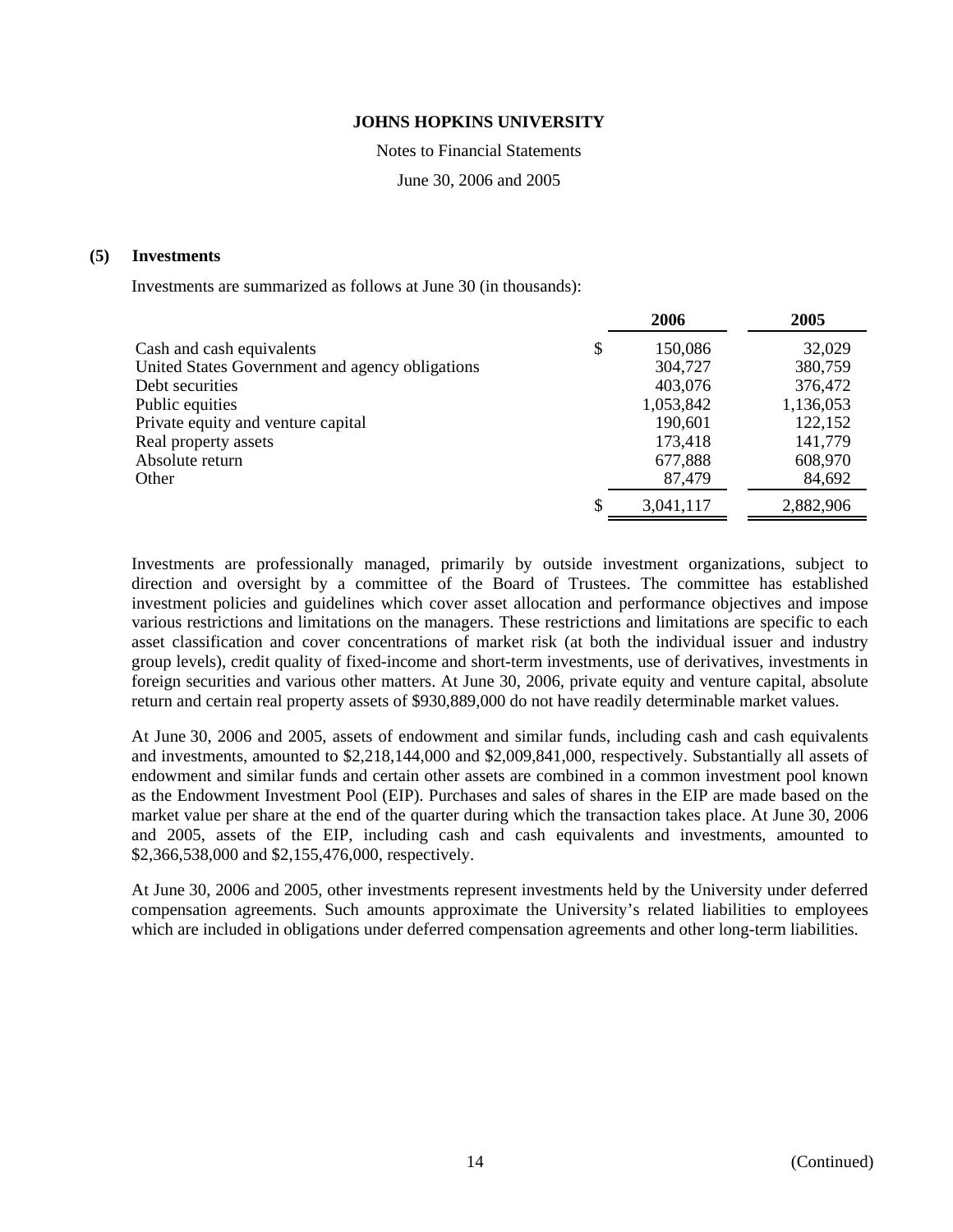Notes to Financial Statements

June 30, 2006 and 2005

#### **(5) Investments**

Investments are summarized as follows at June 30 (in thousands):

|                                                 | 2006          | 2005      |
|-------------------------------------------------|---------------|-----------|
| Cash and cash equivalents                       | \$<br>150,086 | 32,029    |
| United States Government and agency obligations | 304,727       | 380,759   |
| Debt securities                                 | 403,076       | 376,472   |
| Public equities                                 | 1,053,842     | 1,136,053 |
| Private equity and venture capital              | 190,601       | 122,152   |
| Real property assets                            | 173,418       | 141,779   |
| Absolute return                                 | 677,888       | 608,970   |
| Other                                           | 87,479        | 84,692    |
|                                                 | 3,041,117     | 2,882,906 |

Investments are professionally managed, primarily by outside investment organizations, subject to direction and oversight by a committee of the Board of Trustees. The committee has established investment policies and guidelines which cover asset allocation and performance objectives and impose various restrictions and limitations on the managers. These restrictions and limitations are specific to each asset classification and cover concentrations of market risk (at both the individual issuer and industry group levels), credit quality of fixed-income and short-term investments, use of derivatives, investments in foreign securities and various other matters. At June 30, 2006, private equity and venture capital, absolute return and certain real property assets of \$930,889,000 do not have readily determinable market values.

At June 30, 2006 and 2005, assets of endowment and similar funds, including cash and cash equivalents and investments, amounted to \$2,218,144,000 and \$2,009,841,000, respectively. Substantially all assets of endowment and similar funds and certain other assets are combined in a common investment pool known as the Endowment Investment Pool (EIP). Purchases and sales of shares in the EIP are made based on the market value per share at the end of the quarter during which the transaction takes place. At June 30, 2006 and 2005, assets of the EIP, including cash and cash equivalents and investments, amounted to \$2,366,538,000 and \$2,155,476,000, respectively.

At June 30, 2006 and 2005, other investments represent investments held by the University under deferred compensation agreements. Such amounts approximate the University's related liabilities to employees which are included in obligations under deferred compensation agreements and other long-term liabilities.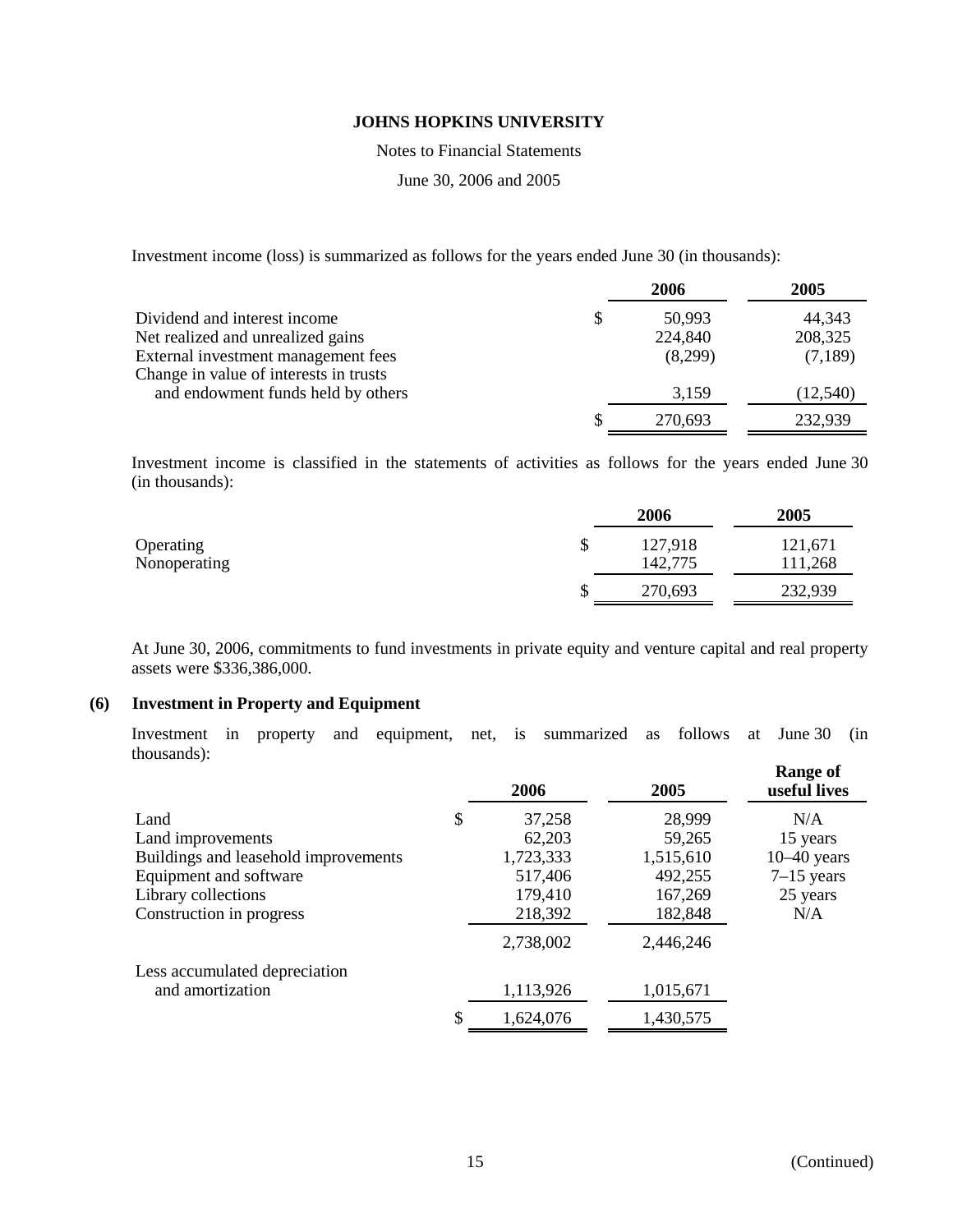Notes to Financial Statements

June 30, 2006 and 2005

Investment income (loss) is summarized as follows for the years ended June 30 (in thousands):

|                                        | 2006         | 2005      |
|----------------------------------------|--------------|-----------|
| Dividend and interest income           | \$<br>50,993 | 44,343    |
| Net realized and unrealized gains      | 224,840      | 208,325   |
| External investment management fees    | (8,299)      | (7,189)   |
| Change in value of interests in trusts |              |           |
| and endowment funds held by others     | 3,159        | (12, 540) |
|                                        | 270,693      | 232,939   |

Investment income is classified in the statements of activities as follows for the years ended June 30 (in thousands):

|              |   | 2006    | 2005    |
|--------------|---|---------|---------|
| Operating    | S | 127,918 | 121,671 |
| Nonoperating |   | 142,775 | 111,268 |
|              | D | 270,693 | 232,939 |

At June 30, 2006, commitments to fund investments in private equity and venture capital and real property assets were \$336,386,000.

## **(6) Investment in Property and Equipment**

Investment in property and equipment, net, is summarized as follows at June 30 (in thousands):

|                                      | 2006         | 2005      | <b>Range of</b><br>useful lives |
|--------------------------------------|--------------|-----------|---------------------------------|
| Land                                 | \$<br>37,258 | 28,999    | N/A                             |
| Land improvements                    | 62,203       | 59,265    | 15 years                        |
| Buildings and leasehold improvements | 1,723,333    | 1,515,610 | $10-40$ years                   |
| Equipment and software               | 517,406      | 492,255   | $7-15$ years                    |
| Library collections                  | 179,410      | 167,269   | 25 years                        |
| Construction in progress             | 218,392      | 182,848   | N/A                             |
|                                      | 2,738,002    | 2,446,246 |                                 |
| Less accumulated depreciation        |              |           |                                 |
| and amortization                     | 1,113,926    | 1,015,671 |                                 |
|                                      | 1,624,076    | 1,430,575 |                                 |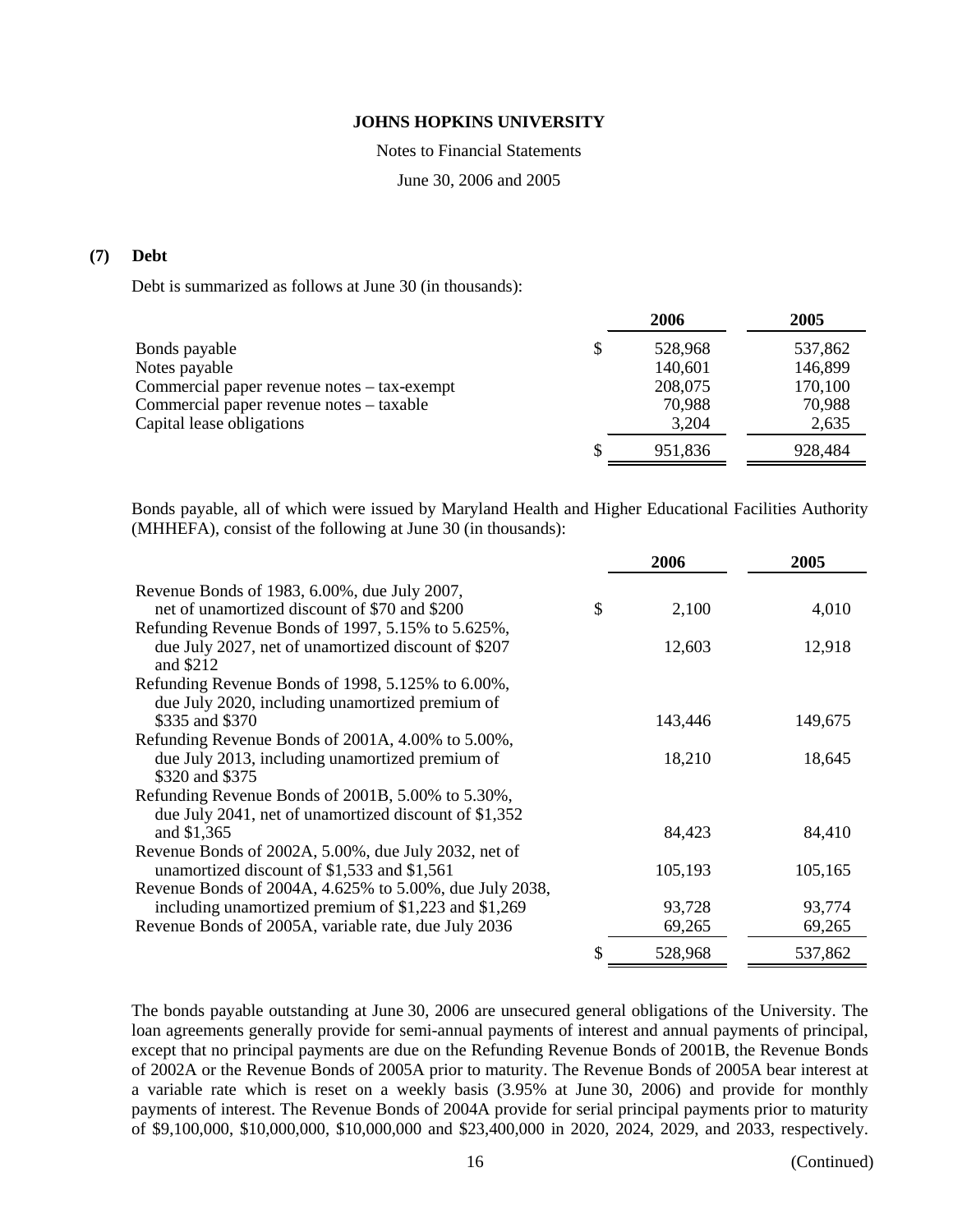Notes to Financial Statements

June 30, 2006 and 2005

## **(7) Debt**

Debt is summarized as follows at June 30 (in thousands):

|                                             |   | 2006    | 2005    |
|---------------------------------------------|---|---------|---------|
| Bonds payable                               |   | 528,968 | 537,862 |
| Notes payable                               |   | 140,601 | 146,899 |
| Commercial paper revenue notes – tax-exempt |   | 208,075 | 170,100 |
| Commercial paper revenue notes – taxable    |   | 70,988  | 70,988  |
| Capital lease obligations                   |   | 3,204   | 2,635   |
|                                             | S | 951,836 | 928,484 |
|                                             |   |         |         |

Bonds payable, all of which were issued by Maryland Health and Higher Educational Facilities Authority (MHHEFA), consist of the following at June 30 (in thousands):

|                                                                                                     | 2006          | 2005    |
|-----------------------------------------------------------------------------------------------------|---------------|---------|
| Revenue Bonds of 1983, 6.00%, due July 2007,                                                        |               |         |
| net of unamortized discount of \$70 and \$200                                                       | \$<br>2,100   | 4,010   |
| Refunding Revenue Bonds of 1997, 5.15% to 5.625%,                                                   |               |         |
| due July 2027, net of unamortized discount of \$207                                                 | 12,603        | 12,918  |
| and \$212                                                                                           |               |         |
| Refunding Revenue Bonds of 1998, 5.125% to 6.00%,                                                   |               |         |
| due July 2020, including unamortized premium of                                                     |               |         |
| \$335 and \$370                                                                                     | 143,446       | 149,675 |
| Refunding Revenue Bonds of 2001A, 4.00% to 5.00%,                                                   |               |         |
| due July 2013, including unamortized premium of                                                     | 18,210        | 18,645  |
| \$320 and \$375                                                                                     |               |         |
| Refunding Revenue Bonds of 2001B, 5.00% to 5.30%,                                                   |               |         |
| due July 2041, net of unamortized discount of \$1,352                                               |               |         |
| and \$1,365                                                                                         | 84,423        | 84,410  |
| Revenue Bonds of 2002A, 5.00%, due July 2032, net of<br>unamortized discount of \$1,533 and \$1,561 | 105,193       | 105,165 |
| Revenue Bonds of 2004A, 4.625% to 5.00%, due July 2038,                                             |               |         |
| including unamortized premium of \$1,223 and \$1,269                                                | 93,728        | 93,774  |
| Revenue Bonds of 2005A, variable rate, due July 2036                                                | 69,265        | 69,265  |
|                                                                                                     |               |         |
|                                                                                                     | \$<br>528,968 | 537,862 |

The bonds payable outstanding at June 30, 2006 are unsecured general obligations of the University. The loan agreements generally provide for semi-annual payments of interest and annual payments of principal, except that no principal payments are due on the Refunding Revenue Bonds of 2001B, the Revenue Bonds of 2002A or the Revenue Bonds of 2005A prior to maturity. The Revenue Bonds of 2005A bear interest at a variable rate which is reset on a weekly basis (3.95% at June 30, 2006) and provide for monthly payments of interest. The Revenue Bonds of 2004A provide for serial principal payments prior to maturity of \$9,100,000, \$10,000,000, \$10,000,000 and \$23,400,000 in 2020, 2024, 2029, and 2033, respectively.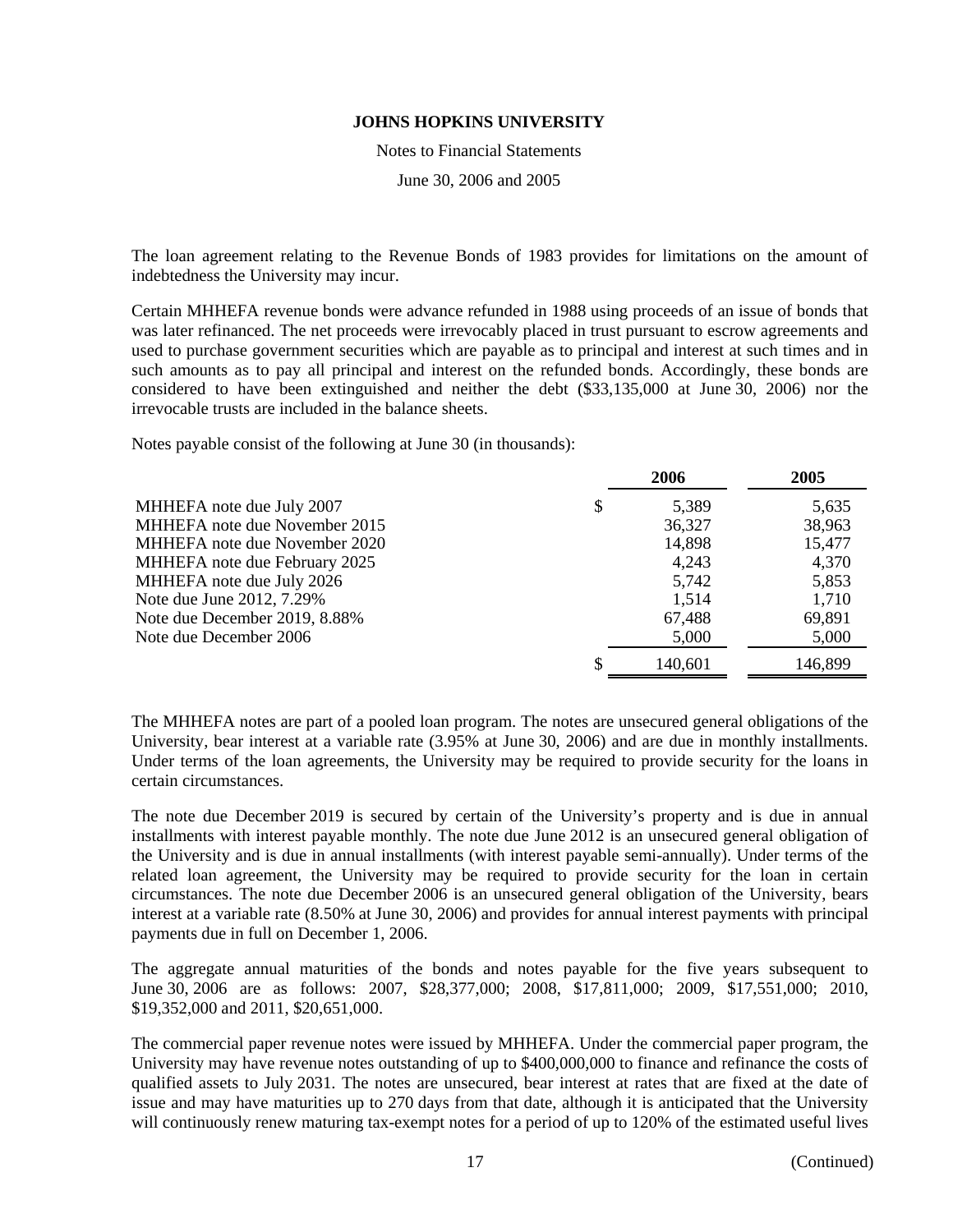Notes to Financial Statements

June 30, 2006 and 2005

The loan agreement relating to the Revenue Bonds of 1983 provides for limitations on the amount of indebtedness the University may incur.

Certain MHHEFA revenue bonds were advance refunded in 1988 using proceeds of an issue of bonds that was later refinanced. The net proceeds were irrevocably placed in trust pursuant to escrow agreements and used to purchase government securities which are payable as to principal and interest at such times and in such amounts as to pay all principal and interest on the refunded bonds. Accordingly, these bonds are considered to have been extinguished and neither the debt (\$33,135,000 at June 30, 2006) nor the irrevocable trusts are included in the balance sheets.

Notes payable consist of the following at June 30 (in thousands):

|                               | 2006        | 2005    |
|-------------------------------|-------------|---------|
| MHHEFA note due July 2007     | \$<br>5,389 | 5,635   |
| MHHEFA note due November 2015 | 36,327      | 38,963  |
| MHHEFA note due November 2020 | 14,898      | 15,477  |
| MHHEFA note due February 2025 | 4,243       | 4,370   |
| MHHEFA note due July 2026     | 5,742       | 5,853   |
| Note due June 2012, 7.29%     | 1,514       | 1,710   |
| Note due December 2019, 8.88% | 67,488      | 69,891  |
| Note due December 2006        | 5,000       | 5,000   |
|                               | 140,601     | 146,899 |

The MHHEFA notes are part of a pooled loan program. The notes are unsecured general obligations of the University, bear interest at a variable rate  $(3.95\%$  at June 30, 2006) and are due in monthly installments. Under terms of the loan agreements, the University may be required to provide security for the loans in certain circumstances.

The note due December 2019 is secured by certain of the University's property and is due in annual installments with interest payable monthly. The note due June 2012 is an unsecured general obligation of the University and is due in annual installments (with interest payable semi-annually). Under terms of the related loan agreement, the University may be required to provide security for the loan in certain circumstances. The note due December 2006 is an unsecured general obligation of the University, bears interest at a variable rate (8.50% at June 30, 2006) and provides for annual interest payments with principal payments due in full on December 1, 2006.

The aggregate annual maturities of the bonds and notes payable for the five years subsequent to June 30, 2006 are as follows: 2007, \$28,377,000; 2008, \$17,811,000; 2009, \$17,551,000; 2010, \$19,352,000 and 2011, \$20,651,000.

The commercial paper revenue notes were issued by MHHEFA. Under the commercial paper program, the University may have revenue notes outstanding of up to \$400,000,000 to finance and refinance the costs of qualified assets to July 2031. The notes are unsecured, bear interest at rates that are fixed at the date of issue and may have maturities up to 270 days from that date, although it is anticipated that the University will continuously renew maturing tax-exempt notes for a period of up to 120% of the estimated useful lives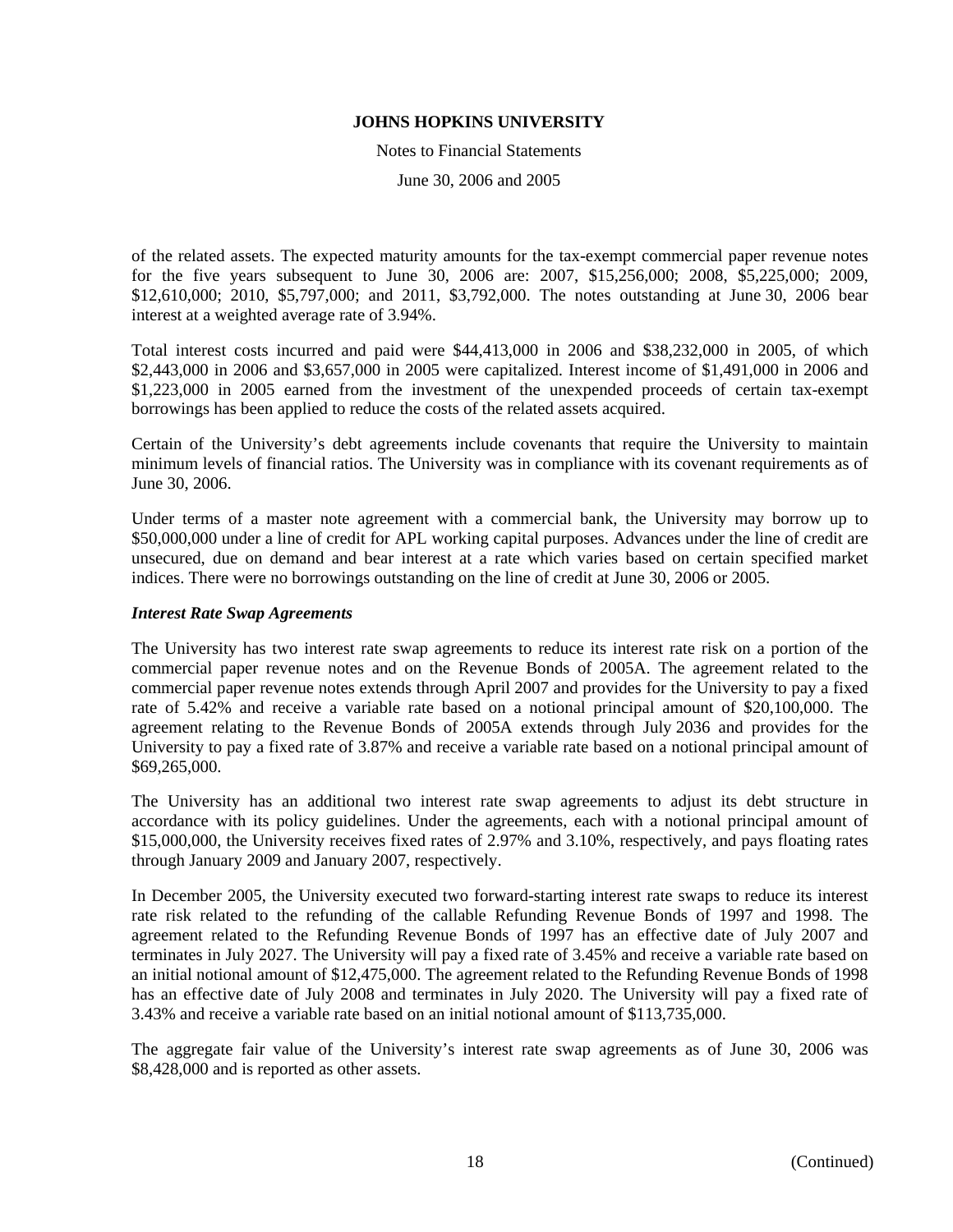Notes to Financial Statements

June 30, 2006 and 2005

of the related assets. The expected maturity amounts for the tax-exempt commercial paper revenue notes for the five years subsequent to June 30, 2006 are: 2007, \$15,256,000; 2008, \$5,225,000; 2009, \$12,610,000; 2010, \$5,797,000; and 2011, \$3,792,000. The notes outstanding at June 30, 2006 bear interest at a weighted average rate of 3.94%.

Total interest costs incurred and paid were \$44,413,000 in 2006 and \$38,232,000 in 2005, of which \$2,443,000 in 2006 and \$3,657,000 in 2005 were capitalized. Interest income of \$1,491,000 in 2006 and \$1,223,000 in 2005 earned from the investment of the unexpended proceeds of certain tax-exempt borrowings has been applied to reduce the costs of the related assets acquired.

Certain of the University's debt agreements include covenants that require the University to maintain minimum levels of financial ratios. The University was in compliance with its covenant requirements as of June 30, 2006.

Under terms of a master note agreement with a commercial bank, the University may borrow up to \$50,000,000 under a line of credit for APL working capital purposes. Advances under the line of credit are unsecured, due on demand and bear interest at a rate which varies based on certain specified market indices. There were no borrowings outstanding on the line of credit at June 30, 2006 or 2005.

#### *Interest Rate Swap Agreements*

The University has two interest rate swap agreements to reduce its interest rate risk on a portion of the commercial paper revenue notes and on the Revenue Bonds of 2005A. The agreement related to the commercial paper revenue notes extends through April 2007 and provides for the University to pay a fixed rate of 5.42% and receive a variable rate based on a notional principal amount of \$20,100,000. The agreement relating to the Revenue Bonds of 2005A extends through July 2036 and provides for the University to pay a fixed rate of 3.87% and receive a variable rate based on a notional principal amount of \$69,265,000.

The University has an additional two interest rate swap agreements to adjust its debt structure in accordance with its policy guidelines. Under the agreements, each with a notional principal amount of \$15,000,000, the University receives fixed rates of 2.97% and 3.10%, respectively, and pays floating rates through January 2009 and January 2007, respectively.

In December 2005, the University executed two forward-starting interest rate swaps to reduce its interest rate risk related to the refunding of the callable Refunding Revenue Bonds of 1997 and 1998. The agreement related to the Refunding Revenue Bonds of 1997 has an effective date of July 2007 and terminates in July 2027. The University will pay a fixed rate of 3.45% and receive a variable rate based on an initial notional amount of \$12,475,000. The agreement related to the Refunding Revenue Bonds of 1998 has an effective date of July 2008 and terminates in July 2020. The University will pay a fixed rate of 3.43% and receive a variable rate based on an initial notional amount of \$113,735,000.

The aggregate fair value of the University's interest rate swap agreements as of June 30, 2006 was \$8,428,000 and is reported as other assets.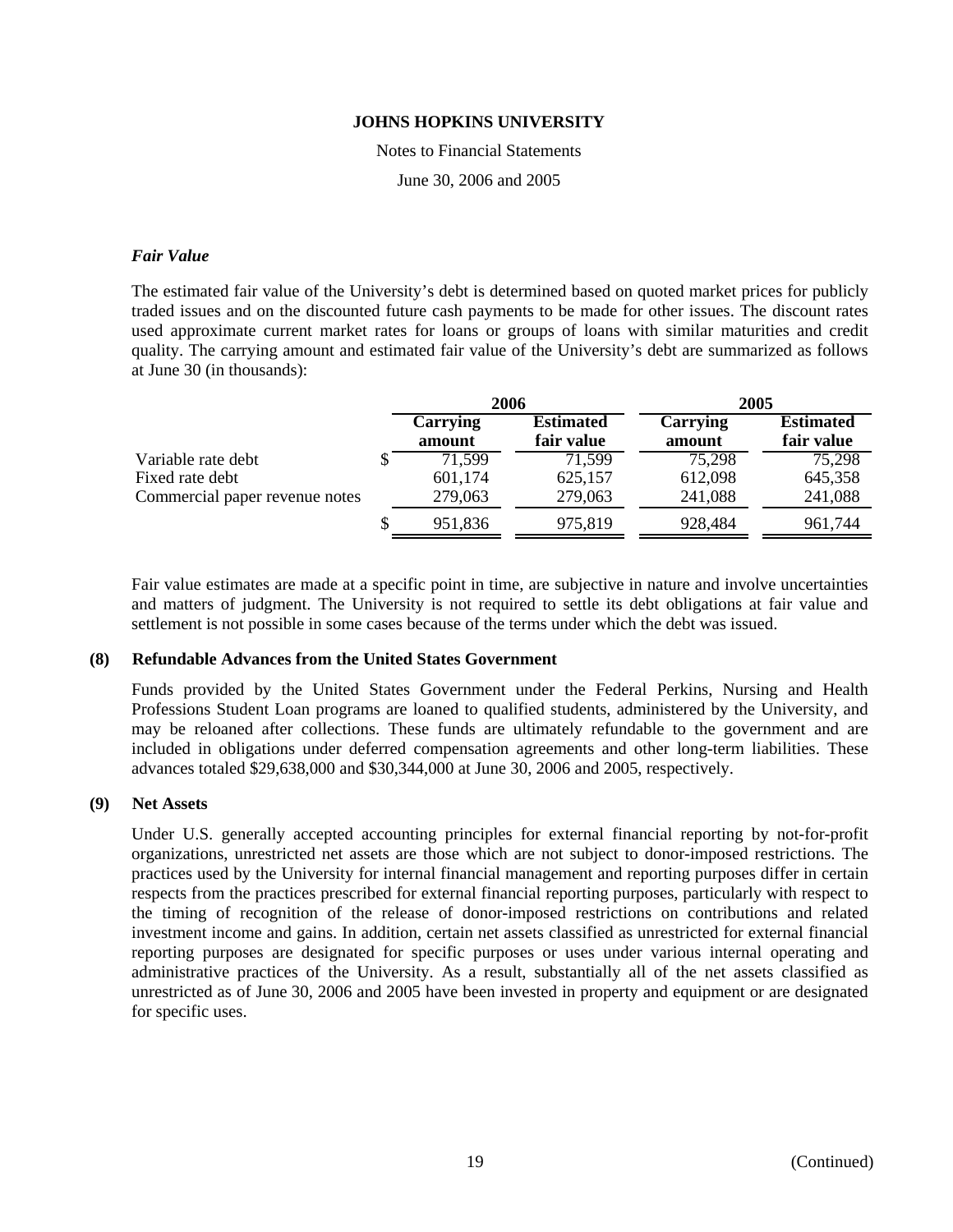Notes to Financial Statements

June 30, 2006 and 2005

#### *Fair Value*

The estimated fair value of the University's debt is determined based on quoted market prices for publicly traded issues and on the discounted future cash payments to be made for other issues. The discount rates used approximate current market rates for loans or groups of loans with similar maturities and credit quality. The carrying amount and estimated fair value of the University's debt are summarized as follows at June 30 (in thousands):

|                                | 2006               |                                | 2005               |                                |
|--------------------------------|--------------------|--------------------------------|--------------------|--------------------------------|
|                                | Carrying<br>amount | <b>Estimated</b><br>fair value | Carrying<br>amount | <b>Estimated</b><br>fair value |
| Variable rate debt             | 71.599             | 71,599                         | 75,298             | 75,298                         |
| Fixed rate debt                | 601,174            | 625,157                        | 612,098            | 645,358                        |
| Commercial paper revenue notes | 279,063            | 279,063                        | 241,088            | 241,088                        |
|                                | 951,836            | 975,819                        | 928,484            | 961,744                        |

Fair value estimates are made at a specific point in time, are subjective in nature and involve uncertainties and matters of judgment. The University is not required to settle its debt obligations at fair value and settlement is not possible in some cases because of the terms under which the debt was issued.

# **(8) Refundable Advances from the United States Government**

Funds provided by the United States Government under the Federal Perkins, Nursing and Health Professions Student Loan programs are loaned to qualified students, administered by the University, and may be reloaned after collections. These funds are ultimately refundable to the government and are included in obligations under deferred compensation agreements and other long-term liabilities. These advances totaled \$29,638,000 and \$30,344,000 at June 30, 2006 and 2005, respectively.

## **(9) Net Assets**

Under U.S. generally accepted accounting principles for external financial reporting by not-for-profit organizations, unrestricted net assets are those which are not subject to donor-imposed restrictions. The practices used by the University for internal financial management and reporting purposes differ in certain respects from the practices prescribed for external financial reporting purposes, particularly with respect to the timing of recognition of the release of donor-imposed restrictions on contributions and related investment income and gains. In addition, certain net assets classified as unrestricted for external financial reporting purposes are designated for specific purposes or uses under various internal operating and administrative practices of the University. As a result, substantially all of the net assets classified as unrestricted as of June 30, 2006 and 2005 have been invested in property and equipment or are designated for specific uses.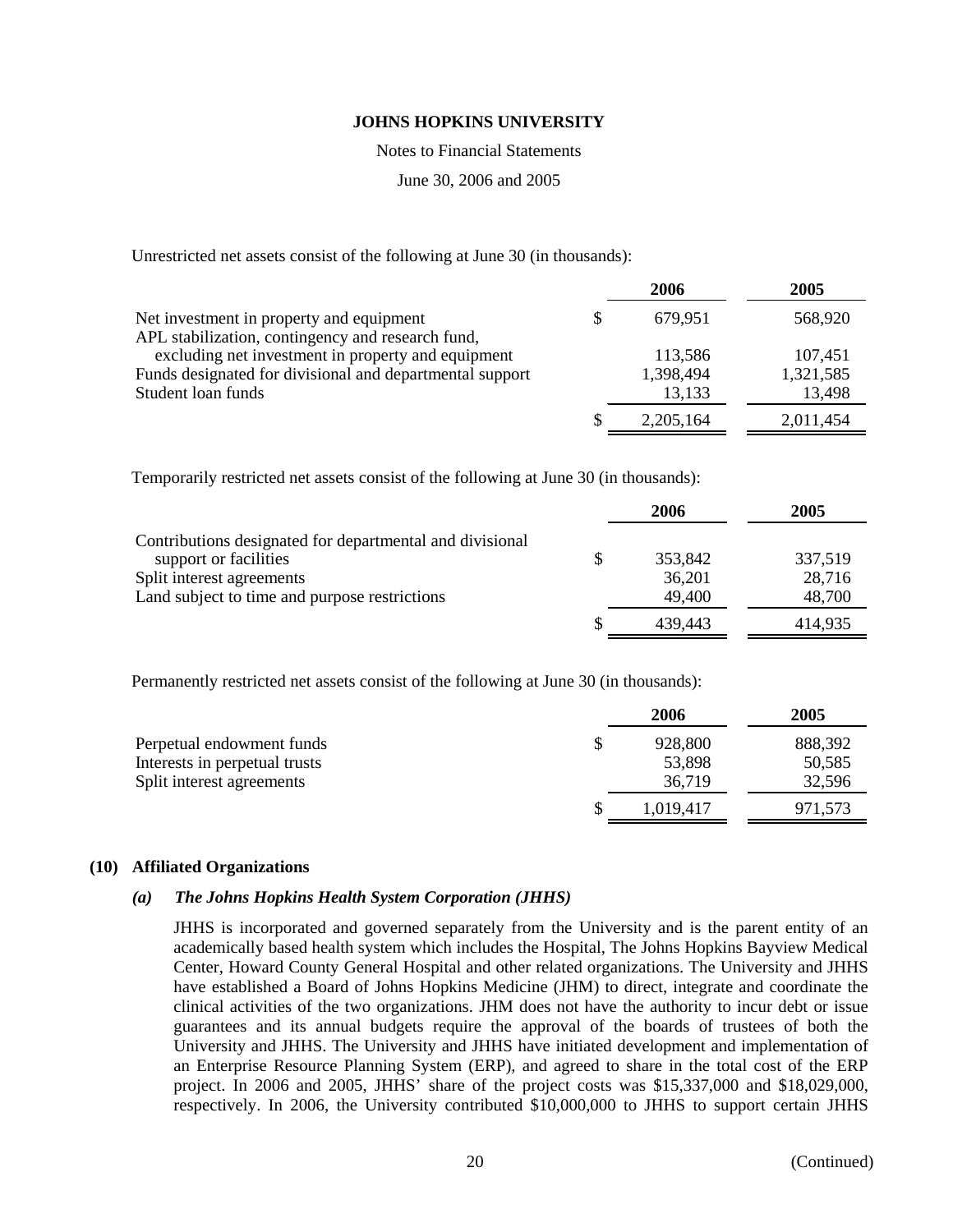Notes to Financial Statements

June 30, 2006 and 2005

Unrestricted net assets consist of the following at June 30 (in thousands):

|                                                          | 2006      | 2005      |
|----------------------------------------------------------|-----------|-----------|
| Net investment in property and equipment                 | 679,951   | 568,920   |
| APL stabilization, contingency and research fund,        |           |           |
| excluding net investment in property and equipment       | 113,586   | 107,451   |
| Funds designated for divisional and departmental support | 1,398,494 | 1,321,585 |
| Student loan funds                                       | 13,133    | 13,498    |
|                                                          | 2,205,164 | 2,011,454 |

Temporarily restricted net assets consist of the following at June 30 (in thousands):

|                                                          | 2006          | 2005    |
|----------------------------------------------------------|---------------|---------|
| Contributions designated for departmental and divisional |               |         |
| support or facilities                                    | \$<br>353,842 | 337,519 |
| Split interest agreements                                | 36,201        | 28,716  |
| Land subject to time and purpose restrictions            | 49,400        | 48,700  |
|                                                          | 439.443       | 414,935 |

Permanently restricted net assets consist of the following at June 30 (in thousands):

|                               | 2006      | 2005    |
|-------------------------------|-----------|---------|
| Perpetual endowment funds     | 928,800   | 888,392 |
| Interests in perpetual trusts | 53,898    | 50,585  |
| Split interest agreements     | 36,719    | 32,596  |
|                               | 1.019.417 | 971,573 |

#### **(10) Affiliated Organizations**

## *(a) The Johns Hopkins Health System Corporation (JHHS)*

JHHS is incorporated and governed separately from the University and is the parent entity of an academically based health system which includes the Hospital, The Johns Hopkins Bayview Medical Center, Howard County General Hospital and other related organizations. The University and JHHS have established a Board of Johns Hopkins Medicine (JHM) to direct, integrate and coordinate the clinical activities of the two organizations. JHM does not have the authority to incur debt or issue guarantees and its annual budgets require the approval of the boards of trustees of both the University and JHHS. The University and JHHS have initiated development and implementation of an Enterprise Resource Planning System (ERP), and agreed to share in the total cost of the ERP project. In 2006 and 2005, JHHS' share of the project costs was \$15,337,000 and \$18,029,000, respectively. In 2006, the University contributed \$10,000,000 to JHHS to support certain JHHS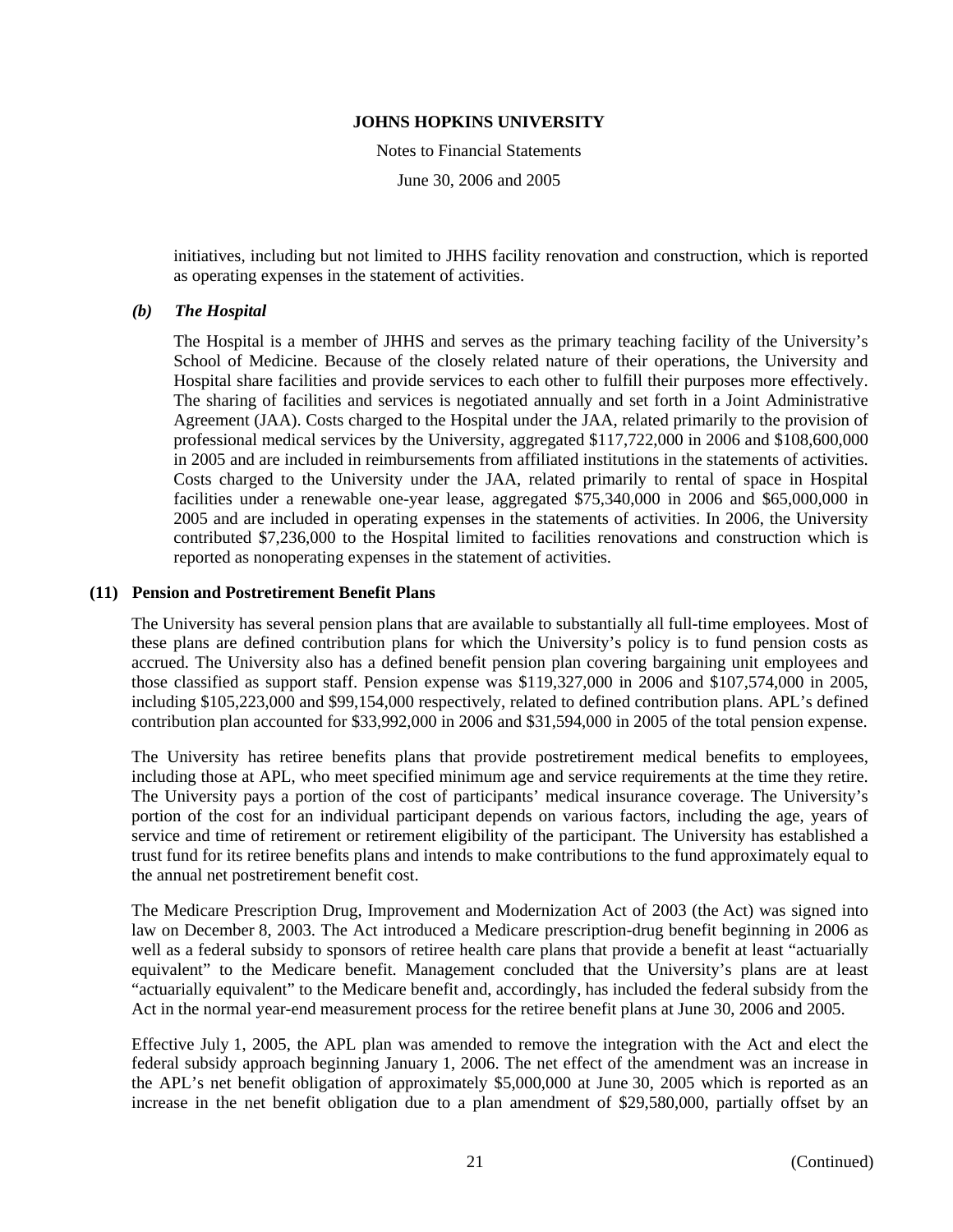Notes to Financial Statements

June 30, 2006 and 2005

initiatives, including but not limited to JHHS facility renovation and construction, which is reported as operating expenses in the statement of activities.

### *(b) The Hospital*

The Hospital is a member of JHHS and serves as the primary teaching facility of the University's School of Medicine. Because of the closely related nature of their operations, the University and Hospital share facilities and provide services to each other to fulfill their purposes more effectively. The sharing of facilities and services is negotiated annually and set forth in a Joint Administrative Agreement (JAA). Costs charged to the Hospital under the JAA, related primarily to the provision of professional medical services by the University, aggregated \$117,722,000 in 2006 and \$108,600,000 in 2005 and are included in reimbursements from affiliated institutions in the statements of activities. Costs charged to the University under the JAA, related primarily to rental of space in Hospital facilities under a renewable one-year lease, aggregated \$75,340,000 in 2006 and \$65,000,000 in 2005 and are included in operating expenses in the statements of activities. In 2006, the University contributed \$7,236,000 to the Hospital limited to facilities renovations and construction which is reported as nonoperating expenses in the statement of activities.

#### **(11) Pension and Postretirement Benefit Plans**

The University has several pension plans that are available to substantially all full-time employees. Most of these plans are defined contribution plans for which the University's policy is to fund pension costs as accrued. The University also has a defined benefit pension plan covering bargaining unit employees and those classified as support staff. Pension expense was \$119,327,000 in 2006 and \$107,574,000 in 2005, including \$105,223,000 and \$99,154,000 respectively, related to defined contribution plans. APL's defined contribution plan accounted for \$33,992,000 in 2006 and \$31,594,000 in 2005 of the total pension expense.

The University has retiree benefits plans that provide postretirement medical benefits to employees, including those at APL, who meet specified minimum age and service requirements at the time they retire. The University pays a portion of the cost of participants' medical insurance coverage. The University's portion of the cost for an individual participant depends on various factors, including the age, years of service and time of retirement or retirement eligibility of the participant. The University has established a trust fund for its retiree benefits plans and intends to make contributions to the fund approximately equal to the annual net postretirement benefit cost.

The Medicare Prescription Drug, Improvement and Modernization Act of 2003 (the Act) was signed into law on December 8, 2003. The Act introduced a Medicare prescription-drug benefit beginning in 2006 as well as a federal subsidy to sponsors of retiree health care plans that provide a benefit at least "actuarially equivalent" to the Medicare benefit. Management concluded that the University's plans are at least "actuarially equivalent" to the Medicare benefit and, accordingly, has included the federal subsidy from the Act in the normal year-end measurement process for the retiree benefit plans at June 30, 2006 and 2005.

Effective July 1, 2005, the APL plan was amended to remove the integration with the Act and elect the federal subsidy approach beginning January 1, 2006. The net effect of the amendment was an increase in the APL's net benefit obligation of approximately \$5,000,000 at June 30, 2005 which is reported as an increase in the net benefit obligation due to a plan amendment of \$29,580,000, partially offset by an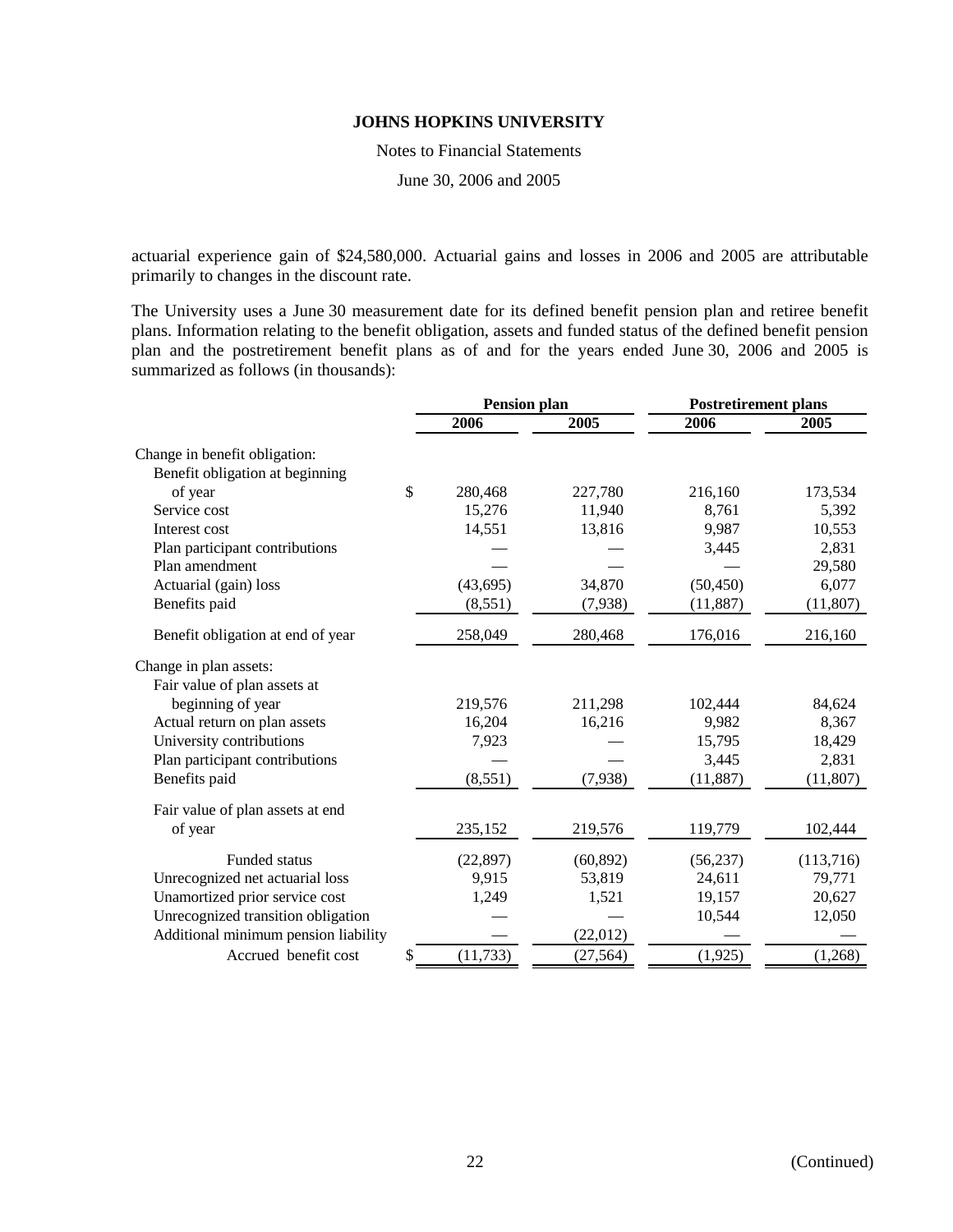Notes to Financial Statements

June 30, 2006 and 2005

actuarial experience gain of \$24,580,000. Actuarial gains and losses in 2006 and 2005 are attributable primarily to changes in the discount rate.

The University uses a June 30 measurement date for its defined benefit pension plan and retiree benefit plans. Information relating to the benefit obligation, assets and funded status of the defined benefit pension plan and the postretirement benefit plans as of and for the years ended June 30, 2006 and 2005 is summarized as follows (in thousands):

|                                      |    | Pension plan |           | <b>Postretirement plans</b> |           |  |
|--------------------------------------|----|--------------|-----------|-----------------------------|-----------|--|
|                                      |    | 2006         | 2005      | 2006                        | 2005      |  |
| Change in benefit obligation:        |    |              |           |                             |           |  |
| Benefit obligation at beginning      |    |              |           |                             |           |  |
| of year                              | \$ | 280,468      | 227,780   | 216,160                     | 173,534   |  |
| Service cost                         |    | 15,276       | 11,940    | 8,761                       | 5,392     |  |
| Interest cost                        |    | 14,551       | 13,816    | 9,987                       | 10,553    |  |
| Plan participant contributions       |    |              |           | 3,445                       | 2,831     |  |
| Plan amendment                       |    |              |           |                             | 29,580    |  |
| Actuarial (gain) loss                |    | (43, 695)    | 34,870    | (50, 450)                   | 6,077     |  |
| Benefits paid                        |    | (8,551)      | (7,938)   | (11, 887)                   | (11,807)  |  |
| Benefit obligation at end of year    |    | 258,049      | 280,468   | 176,016                     | 216,160   |  |
| Change in plan assets:               |    |              |           |                             |           |  |
| Fair value of plan assets at         |    |              |           |                             |           |  |
| beginning of year                    |    | 219,576      | 211,298   | 102,444                     | 84,624    |  |
| Actual return on plan assets         |    | 16,204       | 16,216    | 9,982                       | 8,367     |  |
| University contributions             |    | 7,923        |           | 15,795                      | 18,429    |  |
| Plan participant contributions       |    |              |           | 3,445                       | 2,831     |  |
| Benefits paid                        |    | (8,551)      | (7,938)   | (11,887)                    | (11,807)  |  |
| Fair value of plan assets at end     |    |              |           |                             |           |  |
| of year                              |    | 235,152      | 219,576   | 119,779                     | 102,444   |  |
| Funded status                        |    | (22, 897)    | (60, 892) | (56, 237)                   | (113,716) |  |
| Unrecognized net actuarial loss      |    | 9,915        | 53,819    | 24,611                      | 79,771    |  |
| Unamortized prior service cost       |    | 1,249        | 1,521     | 19,157                      | 20,627    |  |
| Unrecognized transition obligation   |    |              |           | 10,544                      | 12,050    |  |
| Additional minimum pension liability |    |              | (22,012)  |                             |           |  |
| Accrued benefit cost                 | S  | (11, 733)    | (27, 564) | (1,925)                     | (1,268)   |  |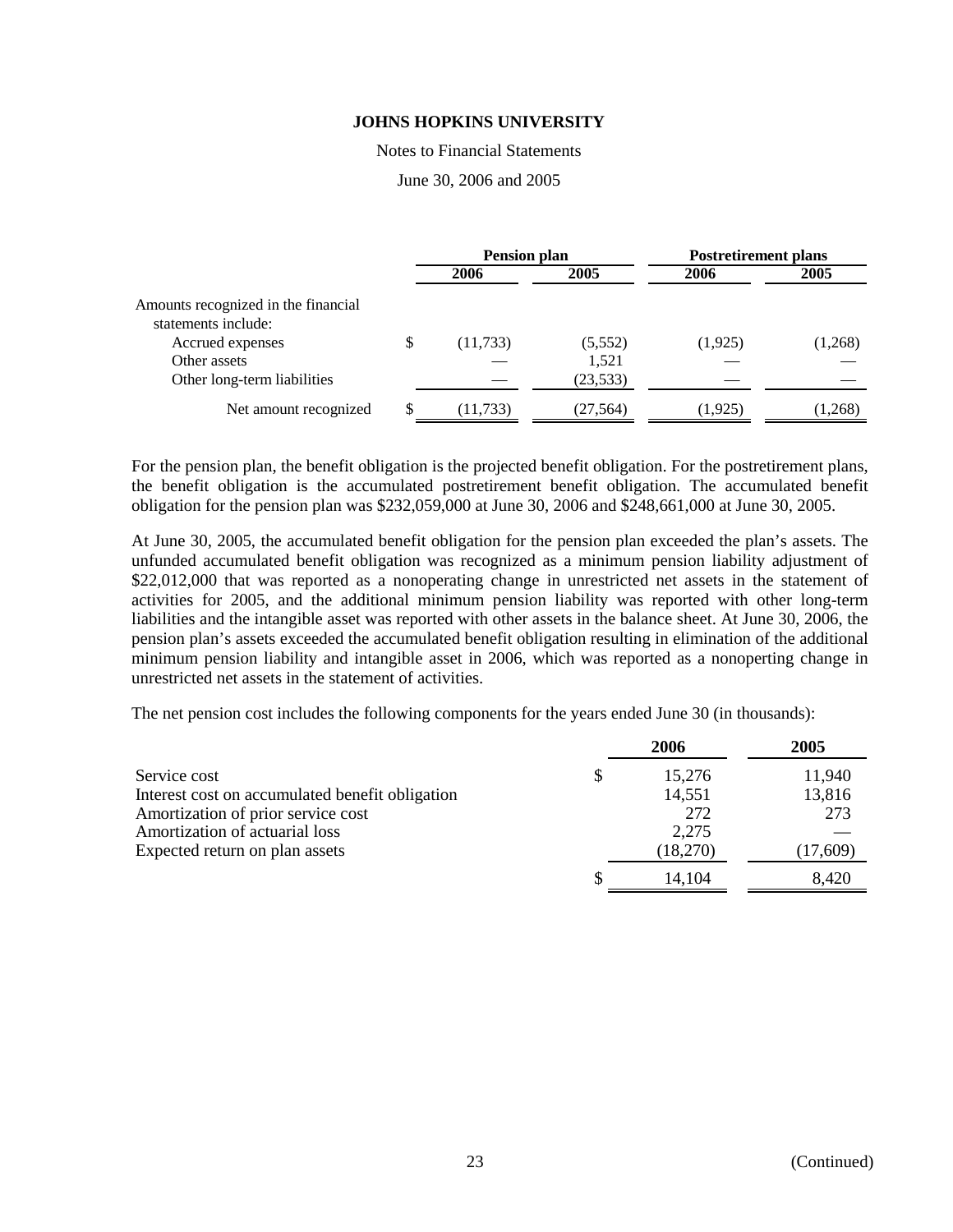Notes to Financial Statements

June 30, 2006 and 2005

|                                                            | <b>Pension plan</b> |           | <b>Postretirement plans</b> |         |  |
|------------------------------------------------------------|---------------------|-----------|-----------------------------|---------|--|
|                                                            | 2006                | 2005      | 2006                        | 2005    |  |
| Amounts recognized in the financial<br>statements include: |                     |           |                             |         |  |
| Accrued expenses                                           | \$<br>(11, 733)     | (5,552)   | (1,925)                     | (1,268) |  |
| Other assets                                               |                     | 1,521     |                             |         |  |
| Other long-term liabilities                                |                     | (23, 533) |                             |         |  |
| Net amount recognized                                      | (11, 733)           | (27, 564) | (1, 925)                    | (1,268) |  |

For the pension plan, the benefit obligation is the projected benefit obligation. For the postretirement plans, the benefit obligation is the accumulated postretirement benefit obligation. The accumulated benefit obligation for the pension plan was \$232,059,000 at June 30, 2006 and \$248,661,000 at June 30, 2005.

At June 30, 2005, the accumulated benefit obligation for the pension plan exceeded the plan's assets. The unfunded accumulated benefit obligation was recognized as a minimum pension liability adjustment of \$22,012,000 that was reported as a nonoperating change in unrestricted net assets in the statement of activities for 2005, and the additional minimum pension liability was reported with other long-term liabilities and the intangible asset was reported with other assets in the balance sheet. At June 30, 2006, the pension plan's assets exceeded the accumulated benefit obligation resulting in elimination of the additional minimum pension liability and intangible asset in 2006, which was reported as a nonoperting change in unrestricted net assets in the statement of activities.

The net pension cost includes the following components for the years ended June 30 (in thousands):

|                                                 | 2006     | 2005     |
|-------------------------------------------------|----------|----------|
| Service cost                                    | 15,276   | 11,940   |
| Interest cost on accumulated benefit obligation | 14,551   | 13,816   |
| Amortization of prior service cost              | 272      | 273      |
| Amortization of actuarial loss                  | 2,275    |          |
| Expected return on plan assets                  | (18,270) | (17,609) |
|                                                 | 14,104   | 8,420    |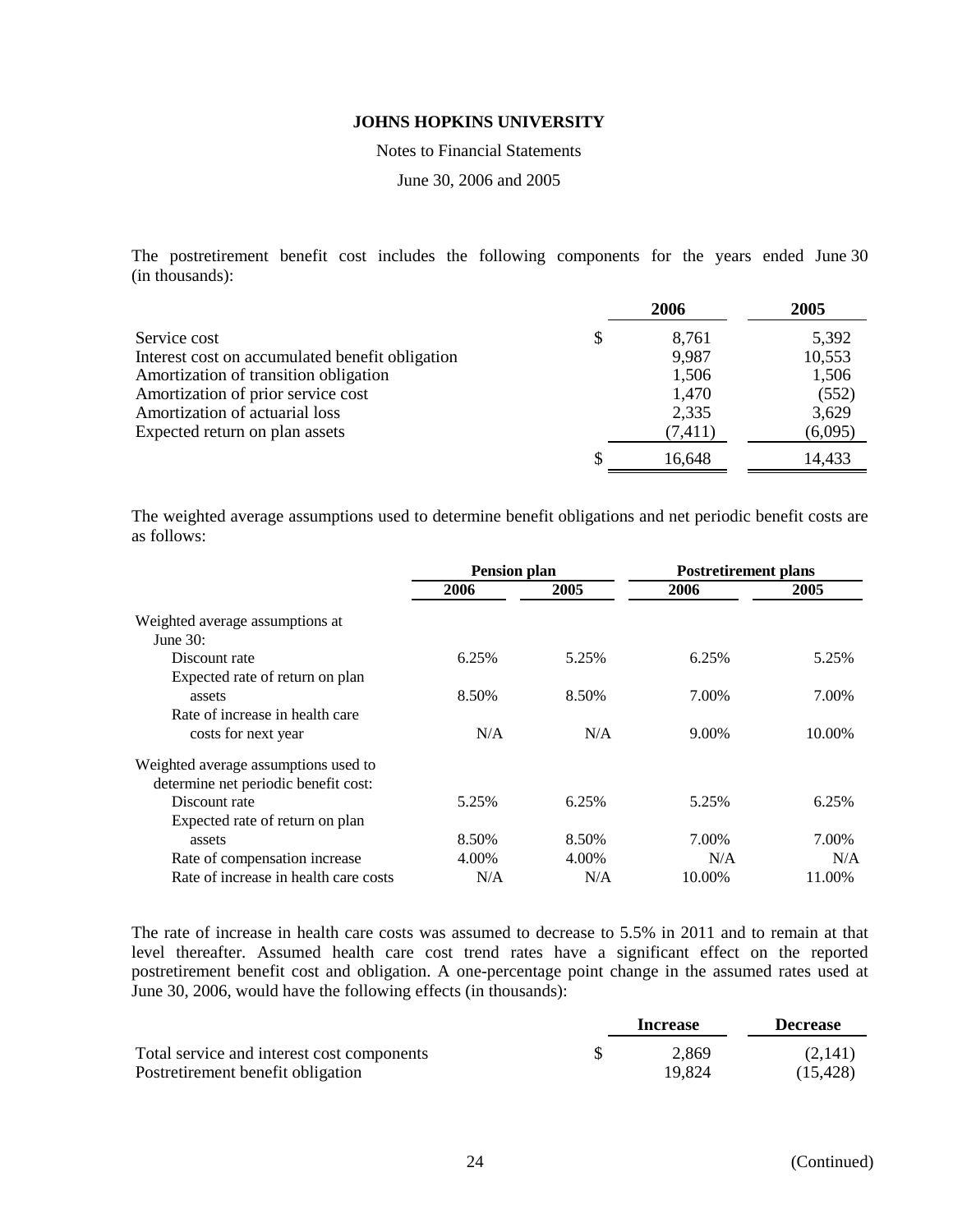Notes to Financial Statements

June 30, 2006 and 2005

The postretirement benefit cost includes the following components for the years ended June 30 (in thousands):

|                                                 | 2006        | 2005    |
|-------------------------------------------------|-------------|---------|
| Service cost                                    | \$<br>8,761 | 5,392   |
| Interest cost on accumulated benefit obligation | 9,987       | 10,553  |
| Amortization of transition obligation           | 1,506       | 1,506   |
| Amortization of prior service cost              | 1,470       | (552)   |
| Amortization of actuarial loss                  | 2,335       | 3,629   |
| Expected return on plan assets                  | (7, 411)    | (6,095) |
|                                                 | 16,648      | 14,433  |

The weighted average assumptions used to determine benefit obligations and net periodic benefit costs are as follows:

|                                       | <b>Pension plan</b> |       | <b>Postretirement plans</b> |        |  |
|---------------------------------------|---------------------|-------|-----------------------------|--------|--|
|                                       | 2006                | 2005  | 2006                        | 2005   |  |
| Weighted average assumptions at       |                     |       |                             |        |  |
| June $30:$                            |                     |       |                             |        |  |
| Discount rate                         | 6.25%               | 5.25% | 6.25%                       | 5.25%  |  |
| Expected rate of return on plan       |                     |       |                             |        |  |
| assets                                | 8.50%               | 8.50% | 7.00%                       | 7.00%  |  |
| Rate of increase in health care       |                     |       |                             |        |  |
| costs for next year                   | N/A                 | N/A   | 9.00%                       | 10.00% |  |
| Weighted average assumptions used to  |                     |       |                             |        |  |
| determine net periodic benefit cost:  |                     |       |                             |        |  |
| Discount rate                         | 5.25%               | 6.25% | 5.25%                       | 6.25%  |  |
| Expected rate of return on plan       |                     |       |                             |        |  |
| assets                                | 8.50%               | 8.50% | 7.00%                       | 7.00%  |  |
| Rate of compensation increase         | 4.00%               | 4.00% | N/A                         | N/A    |  |
| Rate of increase in health care costs | N/A                 | N/A   | 10.00%                      | 11.00% |  |

The rate of increase in health care costs was assumed to decrease to 5.5% in 2011 and to remain at that level thereafter. Assumed health care cost trend rates have a significant effect on the reported postretirement benefit cost and obligation. A one-percentage point change in the assumed rates used at June 30, 2006, would have the following effects (in thousands):

|                                            | Increase | <b>Decrease</b> |
|--------------------------------------------|----------|-----------------|
| Total service and interest cost components | 2.869    | (2,141)         |
| Postretirement benefit obligation          | 19,824   | (15.428)        |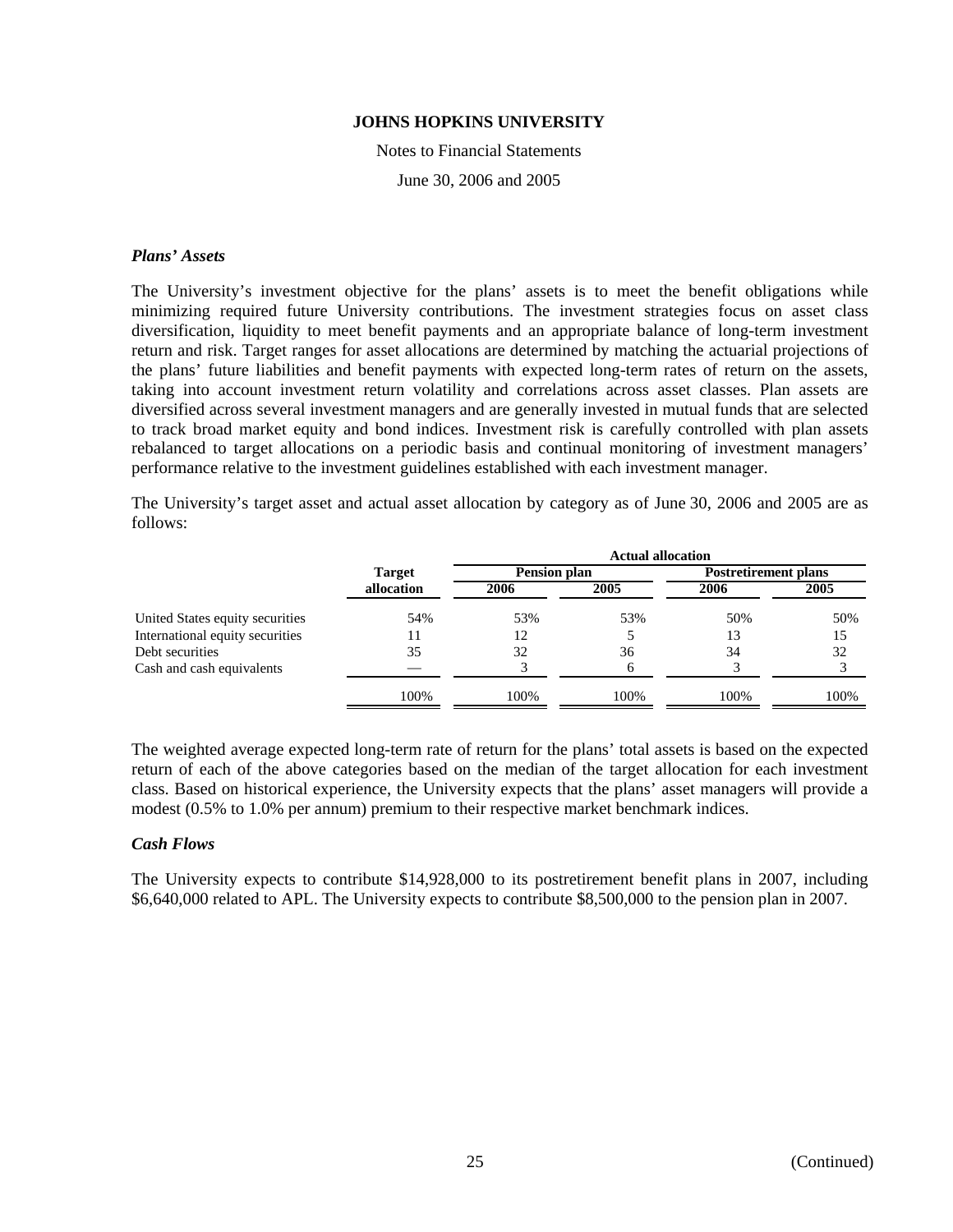Notes to Financial Statements June 30, 2006 and 2005

#### *Plans' Assets*

The University's investment objective for the plans' assets is to meet the benefit obligations while minimizing required future University contributions. The investment strategies focus on asset class diversification, liquidity to meet benefit payments and an appropriate balance of long-term investment return and risk. Target ranges for asset allocations are determined by matching the actuarial projections of the plans' future liabilities and benefit payments with expected long-term rates of return on the assets, taking into account investment return volatility and correlations across asset classes. Plan assets are diversified across several investment managers and are generally invested in mutual funds that are selected to track broad market equity and bond indices. Investment risk is carefully controlled with plan assets rebalanced to target allocations on a periodic basis and continual monitoring of investment managers' performance relative to the investment guidelines established with each investment manager.

The University's target asset and actual asset allocation by category as of June 30, 2006 and 2005 are as follows:

|                                 |               | <b>Actual allocation</b> |      |                             |      |  |  |
|---------------------------------|---------------|--------------------------|------|-----------------------------|------|--|--|
|                                 | <b>Target</b> | Pension plan             |      | <b>Postretirement plans</b> |      |  |  |
|                                 | allocation    | 2006                     | 2005 | 2006                        | 2005 |  |  |
| United States equity securities | 54%           | 53%                      | 53%  | 50%                         | 50%  |  |  |
| International equity securities | 11            | 12                       |      | 13                          | 15   |  |  |
| Debt securities                 | 35            | 32                       | 36   | 34                          | 32   |  |  |
| Cash and cash equivalents       |               |                          | h    |                             |      |  |  |
|                                 | 100%          | 100%                     | 100% | 100%                        | 100% |  |  |

The weighted average expected long-term rate of return for the plans' total assets is based on the expected return of each of the above categories based on the median of the target allocation for each investment class. Based on historical experience, the University expects that the plans' asset managers will provide a modest (0.5% to 1.0% per annum) premium to their respective market benchmark indices.

#### *Cash Flows*

The University expects to contribute \$14,928,000 to its postretirement benefit plans in 2007, including \$6,640,000 related to APL. The University expects to contribute \$8,500,000 to the pension plan in 2007.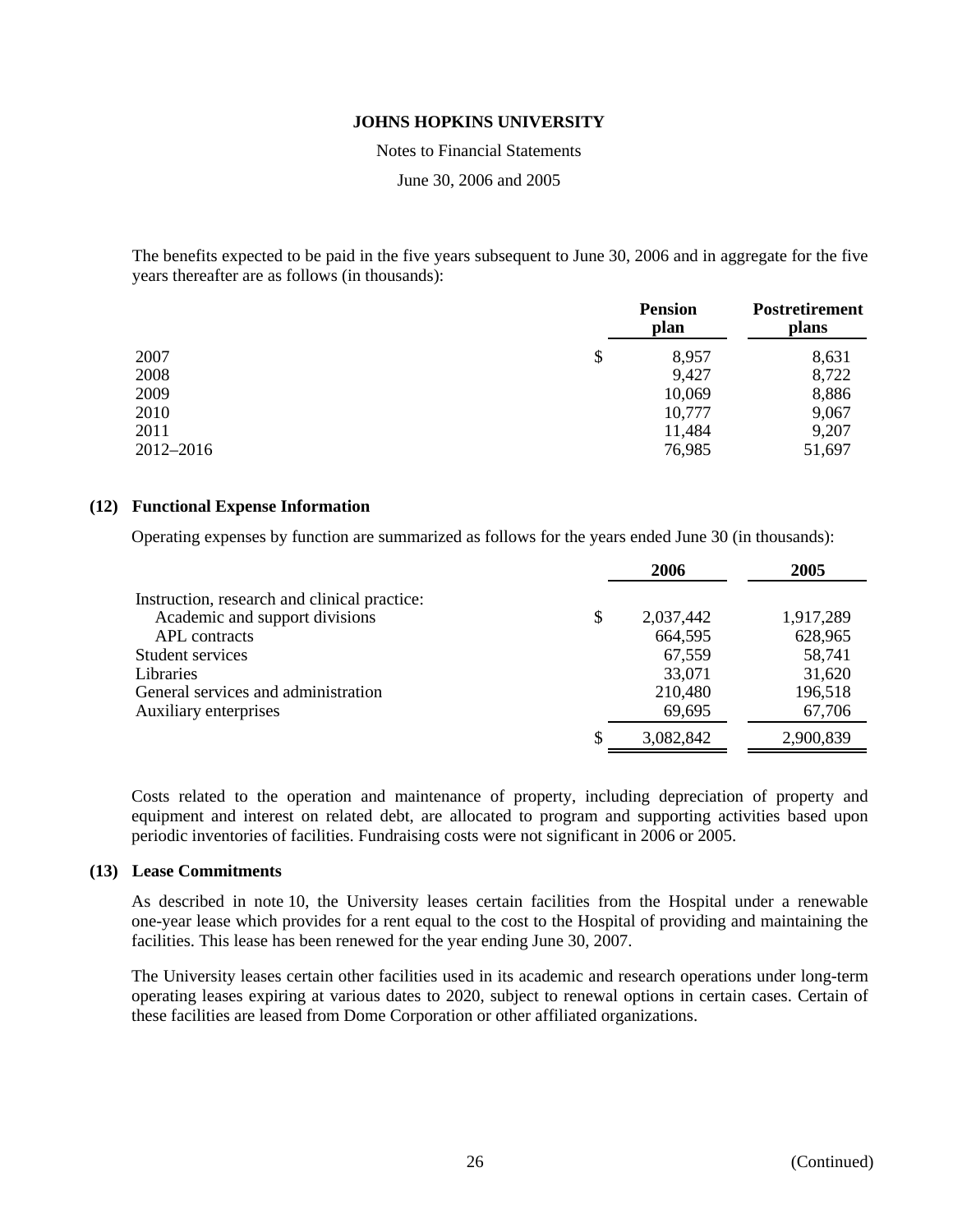Notes to Financial Statements

June 30, 2006 and 2005

The benefits expected to be paid in the five years subsequent to June 30, 2006 and in aggregate for the five years thereafter are as follows (in thousands):

|           | <b>Pension</b><br>plan | <b>Postretirement</b><br>plans |
|-----------|------------------------|--------------------------------|
| 2007      | \$<br>8,957            | 8,631                          |
| 2008      | 9,427                  | 8,722                          |
| 2009      | 10,069                 | 8,886                          |
| 2010      | 10,777                 | 9,067                          |
| 2011      | 11,484                 | 9,207                          |
| 2012-2016 | 76,985                 | 51,697                         |

#### **(12) Functional Expense Information**

Operating expenses by function are summarized as follows for the years ended June 30 (in thousands):

|                                              | 2006            | 2005      |
|----------------------------------------------|-----------------|-----------|
| Instruction, research and clinical practice: |                 |           |
| Academic and support divisions               | \$<br>2,037,442 | 1,917,289 |
| APL contracts                                | 664,595         | 628,965   |
| Student services                             | 67,559          | 58,741    |
| <b>Libraries</b>                             | 33,071          | 31,620    |
| General services and administration          | 210,480         | 196,518   |
| Auxiliary enterprises                        | 69,695          | 67,706    |
|                                              | 3,082,842       | 2,900,839 |

Costs related to the operation and maintenance of property, including depreciation of property and equipment and interest on related debt, are allocated to program and supporting activities based upon periodic inventories of facilities. Fundraising costs were not significant in 2006 or 2005.

#### **(13) Lease Commitments**

As described in note 10, the University leases certain facilities from the Hospital under a renewable one-year lease which provides for a rent equal to the cost to the Hospital of providing and maintaining the facilities. This lease has been renewed for the year ending June 30, 2007.

The University leases certain other facilities used in its academic and research operations under long-term operating leases expiring at various dates to 2020, subject to renewal options in certain cases. Certain of these facilities are leased from Dome Corporation or other affiliated organizations.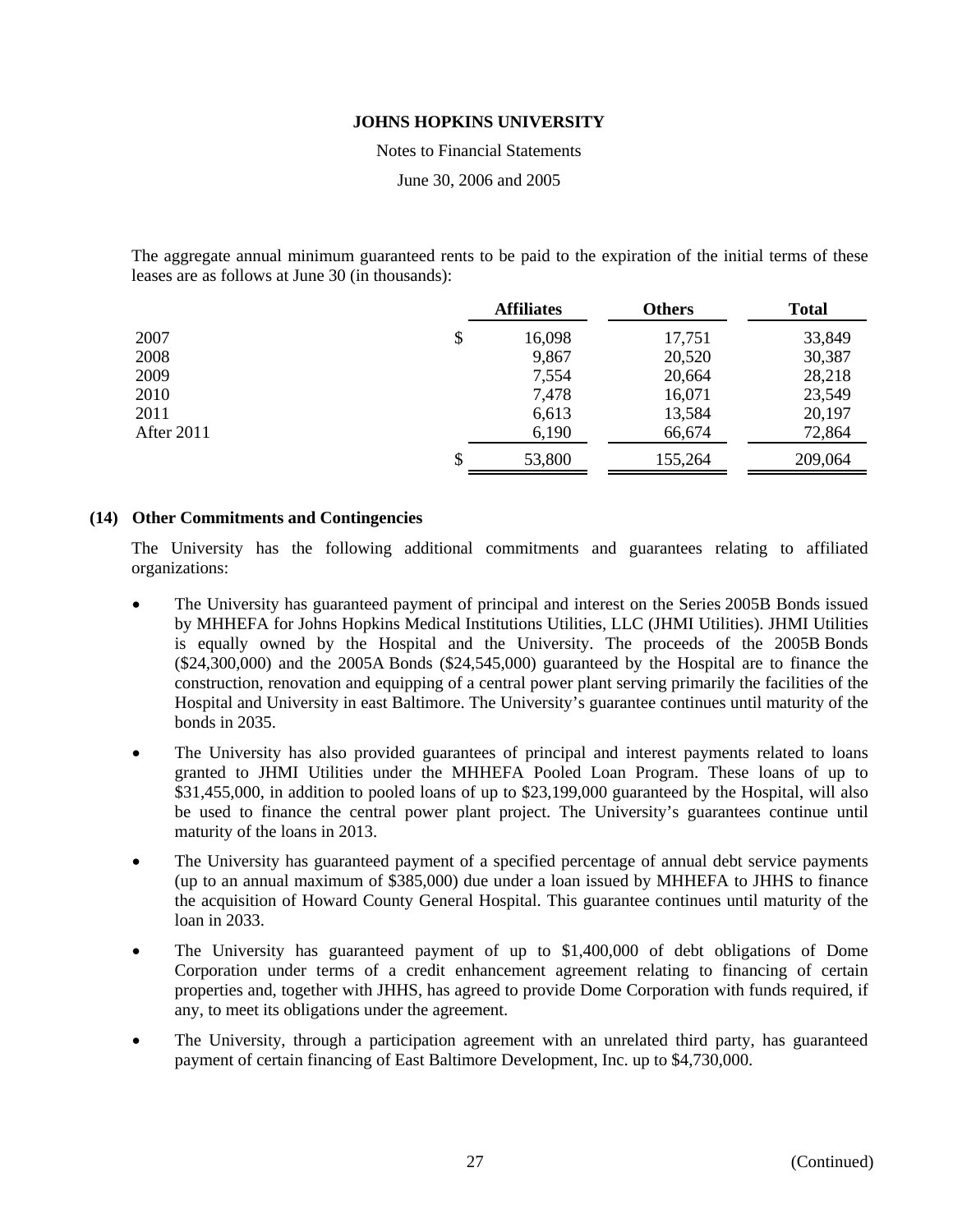Notes to Financial Statements

June 30, 2006 and 2005

The aggregate annual minimum guaranteed rents to be paid to the expiration of the initial terms of these leases are as follows at June 30 (in thousands):

|            | <b>Affiliates</b> | <b>Others</b> | <b>Total</b> |
|------------|-------------------|---------------|--------------|
| 2007       | \$<br>16,098      | 17,751        | 33,849       |
| 2008       | 9,867             | 20,520        | 30,387       |
| 2009       | 7,554             | 20,664        | 28,218       |
| 2010       | 7,478             | 16,071        | 23,549       |
| 2011       | 6,613             | 13,584        | 20,197       |
| After 2011 | 6,190             | 66,674        | 72,864       |
|            | 53,800            | 155,264       | 209,064      |

# **(14) Other Commitments and Contingencies**

The University has the following additional commitments and guarantees relating to affiliated organizations:

- The University has guaranteed payment of principal and interest on the Series 2005B Bonds issued by MHHEFA for Johns Hopkins Medical Institutions Utilities, LLC (JHMI Utilities). JHMI Utilities is equally owned by the Hospital and the University. The proceeds of the 2005B Bonds (\$24,300,000) and the 2005A Bonds (\$24,545,000) guaranteed by the Hospital are to finance the construction, renovation and equipping of a central power plant serving primarily the facilities of the Hospital and University in east Baltimore. The University's guarantee continues until maturity of the bonds in 2035.
- The University has also provided guarantees of principal and interest payments related to loans granted to JHMI Utilities under the MHHEFA Pooled Loan Program. These loans of up to \$31,455,000, in addition to pooled loans of up to \$23,199,000 guaranteed by the Hospital, will also be used to finance the central power plant project. The University's guarantees continue until maturity of the loans in 2013.
- The University has guaranteed payment of a specified percentage of annual debt service payments (up to an annual maximum of \$385,000) due under a loan issued by MHHEFA to JHHS to finance the acquisition of Howard County General Hospital. This guarantee continues until maturity of the loan in 2033.
- The University has guaranteed payment of up to \$1,400,000 of debt obligations of Dome Corporation under terms of a credit enhancement agreement relating to financing of certain properties and, together with JHHS, has agreed to provide Dome Corporation with funds required, if any, to meet its obligations under the agreement.
- The University, through a participation agreement with an unrelated third party, has guaranteed payment of certain financing of East Baltimore Development, Inc. up to \$4,730,000.